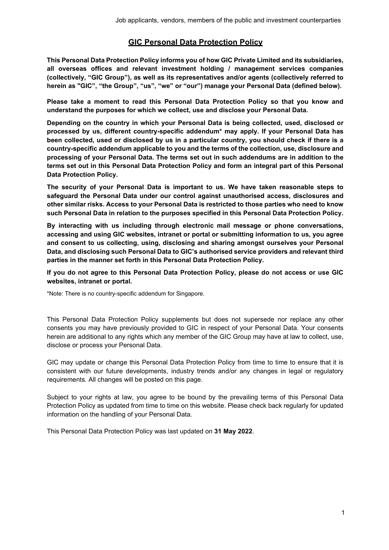# **GIC Personal Data Protection Policy**

**This Personal Data Protection Policy informs you of how GIC Private Limited and its subsidiaries, all overseas offices and relevant investment holding / management services companies (collectively, "GIC Group"), as well as its representatives and/or agents (collectively referred to herein as "GIC", "the Group", "us", "we" or "our") manage your Personal Data (defined below).**

**Please take a moment to read this Personal Data Protection Policy so that you know and understand the purposes for which we collect, use and disclose your Personal Data.**

**Depending on the country in which your Personal Data is being collected, used, disclosed or processed by us, different country-specific addendum\* may apply. If your Personal Data has been collected, used or disclosed by us in a particular country, you should check if there is a country-specific addendum applicable to you and the terms of the collection, use, disclosure and processing of your Personal Data. The terms set out in such addendums are in addition to the terms set out in this Personal Data Protection Policy and form an integral part of this Personal Data Protection Policy.**

**The security of your Personal Data is important to us. We have taken reasonable steps to safeguard the Personal Data under our control against unauthorised access, disclosures and other similar risks. Access to your Personal Data is restricted to those parties who need to know such Personal Data in relation to the purposes specified in this Personal Data Protection Policy.**

**By interacting with us including through electronic mail message or phone conversations, accessing and using GIC websites, intranet or portal or submitting information to us, you agree and consent to us collecting, using, disclosing and sharing amongst ourselves your Personal Data, and disclosing such Personal Data to GIC's authorised service providers and relevant third parties in the manner set forth in this Personal Data Protection Policy.**

**If you do not agree to this Personal Data Protection Policy, please do not access or use GIC websites, intranet or portal.**

\*Note: There is no country-specific addendum for Singapore.

This Personal Data Protection Policy supplements but does not supersede nor replace any other consents you may have previously provided to GIC in respect of your Personal Data. Your consents herein are additional to any rights which any member of the GIC Group may have at law to collect, use, disclose or process your Personal Data.

GIC may update or change this Personal Data Protection Policy from time to time to ensure that it is consistent with our future developments, industry trends and/or any changes in legal or regulatory requirements. All changes will be posted on this page.

Subject to your rights at law, you agree to be bound by the prevailing terms of this Personal Data Protection Policy as updated from time to time on this website. Please check back regularly for updated information on the handling of your Personal Data.

This Personal Data Protection Policy was last updated on **31 May 2022**.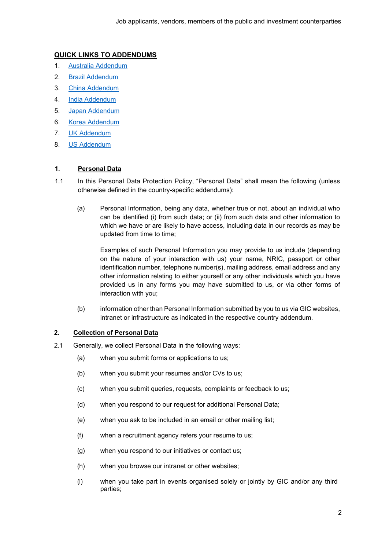# **QUICK LINKS TO ADDENDUMS**

- 1. Australia [Addendum](#page-7-0)
- 2. [Brazil Addendum](#page-11-0)
- 3. [China Addendum](#page-12-0)
- 4. [India Addendum](#page-13-0)
- 5. [Japan Addendum](#page-17-0)
- 6. [Korea Addendum](#page-23-0)
- 7. UK [Addendum](#page-35-0)
- 8. US [Addendum](#page-43-0)

# **1. Personal Data**

- 1.1 In this Personal Data Protection Policy, "Personal Data" shall mean the following (unless otherwise defined in the country-specific addendums):
	- (a) Personal Information, being any data, whether true or not, about an individual who can be identified (i) from such data; or (ii) from such data and other information to which we have or are likely to have access, including data in our records as may be updated from time to time;

Examples of such Personal Information you may provide to us include (depending on the nature of your interaction with us) your name, NRIC, passport or other identification number, telephone number(s), mailing address, email address and any other information relating to either yourself or any other individuals which you have provided us in any forms you may have submitted to us, or via other forms of interaction with you;

(b) information other than Personal Information submitted by you to us via GIC websites, intranet or infrastructure as indicated in the respective country addendum.

# **2. Collection of Personal Data**

- 2.1 Generally, we collect Personal Data in the following ways:
	- (a) when you submit forms or applications to us;
	- (b) when you submit your resumes and/or CVs to us;
	- (c) when you submit queries, requests, complaints or feedback to us;
	- (d) when you respond to our request for additional Personal Data;
	- (e) when you ask to be included in an email or other mailing list;
	- (f) when a recruitment agency refers your resume to us;
	- (g) when you respond to our initiatives or contact us;
	- (h) when you browse our intranet or other websites;
	- (i) when you take part in events organised solely or jointly by GIC and/or any third parties;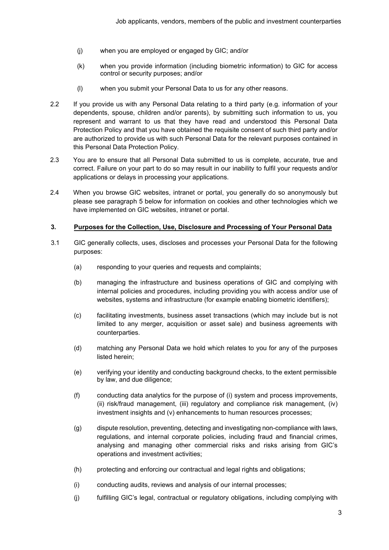- (j) when you are employed or engaged by GIC; and/or
- (k) when you provide information (including biometric information) to GIC for access control or security purposes; and/or
- (l) when you submit your Personal Data to us for any other reasons.
- 2.2 If you provide us with any Personal Data relating to a third party (e.g. information of your dependents, spouse, children and/or parents), by submitting such information to us, you represent and warrant to us that they have read and understood this Personal Data Protection Policy and that you have obtained the requisite consent of such third party and/or are authorized to provide us with such Personal Data for the relevant purposes contained in this Personal Data Protection Policy.
- 2.3 You are to ensure that all Personal Data submitted to us is complete, accurate, true and correct. Failure on your part to do so may result in our inability to fulfil your requests and/or applications or delays in processing your applications.
- 2.4 When you browse GIC websites, intranet or portal, you generally do so anonymously but please see paragraph [5](#page-4-0) below for information on cookies and other technologies which we have implemented on GIC websites, intranet or portal.

### **3. Purposes for the Collection, Use, Disclosure and Processing of Your Personal Data**

- 3.1 GIC generally collects, uses, discloses and processes your Personal Data for the following purposes:
	- (a) responding to your queries and requests and complaints;
	- (b) managing the infrastructure and business operations of GIC and complying with internal policies and procedures, including providing you with access and/or use of websites, systems and infrastructure (for example enabling biometric identifiers);
	- (c) facilitating investments, business asset transactions (which may include but is not limited to any merger, acquisition or asset sale) and business agreements with counterparties.
	- (d) matching any Personal Data we hold which relates to you for any of the purposes listed herein;
	- (e) verifying your identity and conducting background checks, to the extent permissible by law, and due diligence;
	- (f) conducting data analytics for the purpose of (i) system and process improvements, (ii) risk/fraud management, (iii) regulatory and compliance risk management, (iv) investment insights and (v) enhancements to human resources processes;
	- (g) dispute resolution, preventing, detecting and investigating non-compliance with laws, regulations, and internal corporate policies, including fraud and financial crimes, analysing and managing other commercial risks and risks arising from GIC's operations and investment activities;
	- (h) protecting and enforcing our contractual and legal rights and obligations;
	- (i) conducting audits, reviews and analysis of our internal processes;
	- (j) fulfilling GIC's legal, contractual or regulatory obligations, including complying with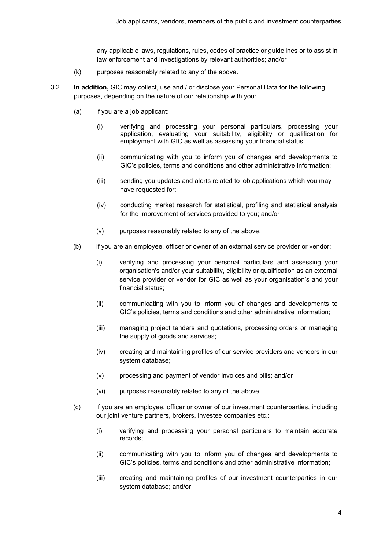any applicable laws, regulations, rules, codes of practice or guidelines or to assist in law enforcement and investigations by relevant authorities; and/or

- (k) purposes reasonably related to any of the above.
- 3.2 **In addition,** GIC may collect, use and / or disclose your Personal Data for the following purposes, depending on the nature of our relationship with you:
	- (a) if you are a job applicant:
		- (i) verifying and processing your personal particulars, processing your application, evaluating your suitability, eligibility or qualification for employment with GIC as well as assessing your financial status;
		- (ii) communicating with you to inform you of changes and developments to GIC's policies, terms and conditions and other administrative information;
		- (iii) sending you updates and alerts related to job applications which you may have requested for;
		- (iv) conducting market research for statistical, profiling and statistical analysis for the improvement of services provided to you; and/or
		- (v) purposes reasonably related to any of the above.
	- (b) if you are an employee, officer or owner of an external service provider or vendor:
		- (i) verifying and processing your personal particulars and assessing your organisation's and/or your suitability, eligibility or qualification as an external service provider or vendor for GIC as well as your organisation's and your financial status;
		- (ii) communicating with you to inform you of changes and developments to GIC's policies, terms and conditions and other administrative information;
		- (iii) managing project tenders and quotations, processing orders or managing the supply of goods and services;
		- (iv) creating and maintaining profiles of our service providers and vendors in our system database;
		- (v) processing and payment of vendor invoices and bills; and/or
		- (vi) purposes reasonably related to any of the above.
	- (c) if you are an employee, officer or owner of our investment counterparties, including our joint venture partners, brokers, investee companies etc.:
		- (i) verifying and processing your personal particulars to maintain accurate records;
		- (ii) communicating with you to inform you of changes and developments to GIC's policies, terms and conditions and other administrative information;
		- (iii) creating and maintaining profiles of our investment counterparties in our system database; and/or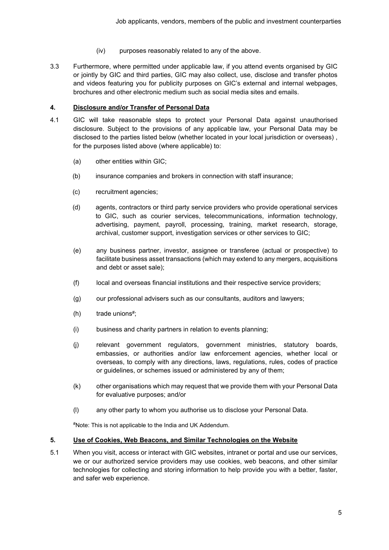- (iv) purposes reasonably related to any of the above.
- 3.3 Furthermore, where permitted under applicable law, if you attend events organised by GIC or jointly by GIC and third parties, GIC may also collect, use, disclose and transfer photos and videos featuring you for publicity purposes on GIC's external and internal webpages, brochures and other electronic medium such as social media sites and emails.

### **4. Disclosure and/or Transfer of Personal Data**

- 4.1 GIC will take reasonable steps to protect your Personal Data against unauthorised disclosure. Subject to the provisions of any applicable law, your Personal Data may be disclosed to the parties listed below (whether located in your local jurisdiction or overseas) , for the purposes listed above (where applicable) to:
	- (a) other entities within GIC;
	- (b) insurance companies and brokers in connection with staff insurance;
	- (c) recruitment agencies;
	- (d) agents, contractors or third party service providers who provide operational services to GIC, such as courier services, telecommunications, information technology, advertising, payment, payroll, processing, training, market research, storage, archival, customer support, investigation services or other services to GIC;
	- (e) any business partner, investor, assignee or transferee (actual or prospective) to facilitate business asset transactions (which may extend to any mergers, acquisitions and debt or asset sale);
	- (f) local and overseas financial institutions and their respective service providers;
	- (g) our professional advisers such as our consultants, auditors and lawyers;
	- (h) trade unions#;
	- (i) business and charity partners in relation to events planning;
	- (j) relevant government regulators, government ministries, statutory boards, embassies, or authorities and/or law enforcement agencies, whether local or overseas, to comply with any directions, laws, regulations, rules, codes of practice or guidelines, or schemes issued or administered by any of them;
	- (k) other organisations which may request that we provide them with your Personal Data for evaluative purposes; and/or
	- (l) any other party to whom you authorise us to disclose your Personal Data.

#Note: This is not applicable to the India and UK Addendum.

### <span id="page-4-0"></span>**5. Use of Cookies, Web Beacons, and Similar Technologies on the Website**

5.1 When you visit, access or interact with GIC websites, intranet or portal and use our services, we or our authorized service providers may use cookies, web beacons, and other similar technologies for collecting and storing information to help provide you with a better, faster, and safer web experience.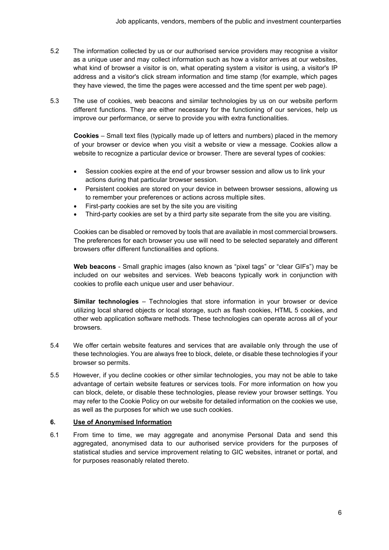- 5.2 The information collected by us or our authorised service providers may recognise a visitor as a unique user and may collect information such as how a visitor arrives at our websites, what kind of browser a visitor is on, what operating system a visitor is using, a visitor's IP address and a visitor's click stream information and time stamp (for example, which pages they have viewed, the time the pages were accessed and the time spent per web page).
- 5.3 The use of cookies, web beacons and similar technologies by us on our website perform different functions. They are either necessary for the functioning of our services, help us improve our performance, or serve to provide you with extra functionalities.

**Cookies** – Small text files (typically made up of letters and numbers) placed in the memory of your browser or device when you visit a website or view a message. Cookies allow a website to recognize a particular device or browser. There are several types of cookies:

- Session cookies expire at the end of your browser session and allow us to link your actions during that particular browser session.
- Persistent cookies are stored on your device in between browser sessions, allowing us to remember your preferences or actions across multiple sites.
- First-party cookies are set by the site you are visiting
- Third-party cookies are set by a third party site separate from the site you are visiting.

Cookies can be disabled or removed by tools that are available in most commercial browsers. The preferences for each browser you use will need to be selected separately and different browsers offer different functionalities and options.

**Web beacons** - Small graphic images (also known as "pixel tags" or "clear GIFs") may be included on our websites and services. Web beacons typically work in conjunction with cookies to profile each unique user and user behaviour.

**Similar technologies** – Technologies that store information in your browser or device utilizing local shared objects or local storage, such as flash cookies, HTML 5 cookies, and other web application software methods. These technologies can operate across all of your browsers.

- 5.4 We offer certain website features and services that are available only through the use of these technologies. You are always free to block, delete, or disable these technologies if your browser so permits.
- 5.5 However, if you decline cookies or other similar technologies, you may not be able to take advantage of certain website features or services tools. For more information on how you can block, delete, or disable these technologies, please review your browser settings. You may refer to the Cookie Policy on our website for detailed information on the cookies we use, as well as the purposes for which we use such cookies.

### **6. Use of Anonymised Information**

6.1 From time to time, we may aggregate and anonymise Personal Data and send this aggregated, anonymised data to our authorised service providers for the purposes of statistical studies and service improvement relating to GIC websites, intranet or portal, and for purposes reasonably related thereto.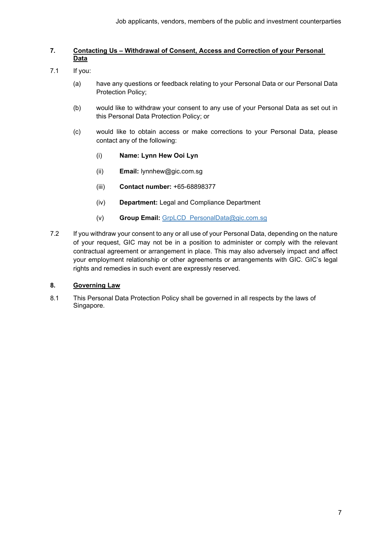### **7. Contacting Us – Withdrawal of Consent, Access and Correction of your Personal Data**

- 7.1 If you:
	- (a) have any questions or feedback relating to your Personal Data or our Personal Data Protection Policy;
	- (b) would like to withdraw your consent to any use of your Personal Data as set out in this Personal Data Protection Policy; or
	- (c) would like to obtain access or make corrections to your Personal Data, please contact any of the following:
		- (i) **Name: Lynn Hew Ooi Lyn**
		- (ii) **Email:** [lynnhew@gic.com.sg](mailto:lynnhew@gic.com.sg)
		- (iii) **Contact number:** +65-68898377
		- (iv) **Department:** Legal and Compliance Department
		- (v) **Group Email:** [GrpLCD\\_PersonalData@gic.com.sg](mailto:GrpLCD_PersonalData@gic.com.sg)
- 7.2 If you withdraw your consent to any or all use of your Personal Data, depending on the nature of your request, GIC may not be in a position to administer or comply with the relevant contractual agreement or arrangement in place. This may also adversely impact and affect your employment relationship or other agreements or arrangements with GIC. GIC's legal rights and remedies in such event are expressly reserved.

## **8. Governing Law**

8.1 This Personal Data Protection Policy shall be governed in all respects by the laws of Singapore.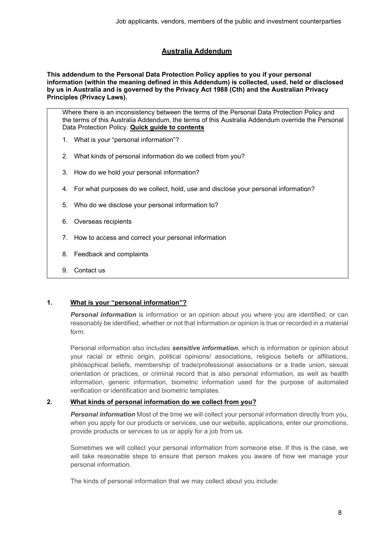# **Australia Addendum**

<span id="page-7-0"></span>**This addendum to the Personal Data Protection Policy applies to you if your personal information (within the meaning defined in this Addendum) is collected, used, held or disclosed by us in Australia and is governed by the Privacy Act 1988 (Cth) and the Australian Privacy Principles (Privacy Laws).**

Where there is an inconsistency between the terms of the Personal Data Protection Policy and the terms of this Australia Addendum, the terms of this Australia Addendum override the Personal Data Protection Policy. **Quick guide to contents**

- 1. [What is your "personal information"?](#page-7-1)
- 2. [What kinds of personal information do we collect from you?](#page-7-2)
- 3. [How do we hold your personal information?](#page-8-0)
- 4. [For what purposes do we collect, hold, use and disclose your personal information?](#page-9-0)
- 5. [Who do we disclose your personal information to?](#page-9-1)
- 6. [Overseas recipients](#page-9-2)
- 7. [How to access and correct your personal information](#page-9-3)
- 8. [Feedback and complaints](#page-10-0)
- 9. [Contact us](#page-10-1)

### <span id="page-7-1"></span>**1. What is your "personal information"?**

*Personal information* is information or an opinion about you where you are identified, or can reasonably be identified, whether or not that information or opinion is true or recorded in a material form.

Personal information also includes *sensitive information*, which is information or opinion about your racial or ethnic origin, political opinions/ associations, religious beliefs or affiliations, philosophical beliefs, membership of trade/professional associations or a trade union, sexual orientation or practices, or criminal record that is also personal information, as well as health information, generic information, biometric information used for the purpose of automated verification or identification and biometric templates.

### <span id="page-7-2"></span>**2. What kinds of personal information do we collect from you?**

*Personal information* Most of the time we will collect your personal information directly from you, when you apply for our products or services, use our website, applications, enter our promotions, provide products or services to us or apply for a job from us.

Sometimes we will collect your personal information from someone else. If this is the case, we will take reasonable steps to ensure that person makes you aware of how we manage your personal information.

The kinds of personal information that we may collect about you include: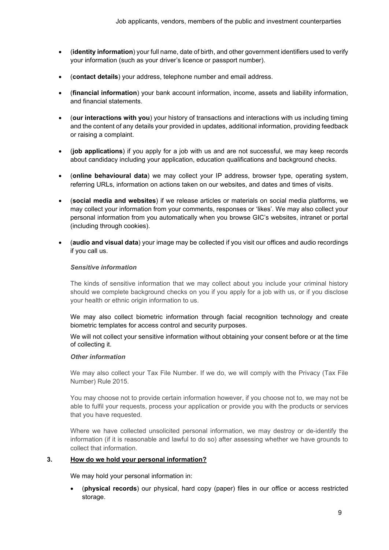- (**identity information**) your full name, date of birth, and other government identifiers used to verify your information (such as your driver's licence or passport number).
- (**contact details**) your address, telephone number and email address.
- (**financial information**) your bank account information, income, assets and liability information, and financial statements.
- (**our interactions with you**) your history of transactions and interactions with us including timing and the content of any details your provided in updates, additional information, providing feedback or raising a complaint.
- (**job applications**) if you apply for a job with us and are not successful, we may keep records about candidacy including your application, education qualifications and background checks.
- (**online behavioural data**) we may collect your IP address, browser type, operating system, referring URLs, information on actions taken on our websites, and dates and times of visits.
- (**social media and websites**) if we release articles or materials on social media platforms, we may collect your information from your comments, responses or 'likes'. We may also collect your personal information from you automatically when you browse GIC's websites, intranet or portal (including through cookies).
- (**audio and visual data**) your image may be collected if you visit our offices and audio recordings if you call us.

### *Sensitive information*

The kinds of sensitive information that we may collect about you include your criminal history should we complete background checks on you if you apply for a job with us, or if you disclose your health or ethnic origin information to us.

We may also collect biometric information through facial recognition technology and create biometric templates for access control and security purposes.

We will not collect your sensitive information without obtaining your consent before or at the time of collecting it.

### *Other information*

We may also collect your Tax File Number. If we do, we will comply with the Privacy (Tax File Number) Rule 2015.

You may choose not to provide certain information however, if you choose not to, we may not be able to fulfil your requests, process your application or provide you with the products or services that you have requested.

Where we have collected unsolicited personal information, we may destroy or de-identify the information (if it is reasonable and lawful to do so) after assessing whether we have grounds to collect that information.

### <span id="page-8-0"></span>**3. How do we hold your personal information?**

We may hold your personal information in:

• (**physical records**) our physical, hard copy (paper) files in our office or access restricted storage.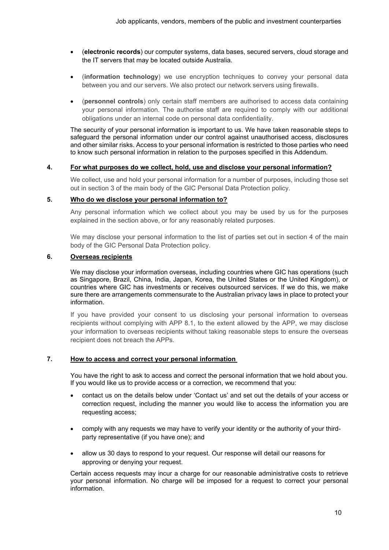- (**electronic records**) our computer systems, data bases, secured servers, cloud storage and the IT servers that may be located outside Australia.
- (**information technology**) we use encryption techniques to convey your personal data between you and our servers. We also protect our network servers using firewalls.
- (**personnel controls**) only certain staff members are authorised to access data containing your personal information. The authorise staff are required to comply with our additional obligations under an internal code on personal data confidentiality.

The security of your personal information is important to us. We have taken reasonable steps to safeguard the personal information under our control against unauthorised access, disclosures and other similar risks. Access to your personal information is restricted to those parties who need to know such personal information in relation to the purposes specified in this Addendum.

### <span id="page-9-0"></span>**4. For what purposes do we collect, hold, use and disclose your personal information?**

We collect, use and hold your personal information for a number of purposes, including those set out in section 3 of the main body of the GIC Personal Data Protection policy.

## <span id="page-9-1"></span>**5. Who do we disclose your personal information to?**

Any personal information which we collect about you may be used by us for the purposes explained in the section above, or for any reasonably related purposes.

We may disclose your personal information to the list of parties set out in section 4 of the main body of the GIC Personal Data Protection policy.

# <span id="page-9-2"></span>**6. Overseas recipients**

We may disclose your information overseas, including countries where GIC has operations (such as Singapore, Brazil, China, India, Japan, Korea, the United States or the United Kingdom), or countries where GIC has investments or receives outsourced services. If we do this, we make sure there are arrangements commensurate to the Australian privacy laws in place to protect your information.

If you have provided your consent to us disclosing your personal information to overseas recipients without complying with APP 8.1, to the extent allowed by the APP, we may disclose your information to overseas recipients without taking reasonable steps to ensure the overseas recipient does not breach the APPs.

# <span id="page-9-3"></span>**7. How to access and correct your personal information**

You have the right to ask to access and correct the personal information that we hold about you. If you would like us to provide access or a correction, we recommend that you:

- contact us on the details below under 'Contact us' and set out the details of your access or correction request, including the manner you would like to access the information you are requesting access;
- comply with any requests we may have to verify your identity or the authority of your thirdparty representative (if you have one); and
- allow us 30 days to respond to your request. Our response will detail our reasons for approving or denying your request.

Certain access requests may incur a charge for our reasonable administrative costs to retrieve your personal information. No charge will be imposed for a request to correct your personal information.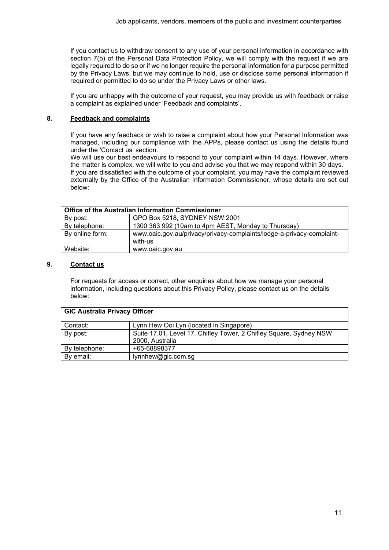If you contact us to withdraw consent to any use of your personal information in accordance with section 7(b) of the Personal Data Protection Policy, we will comply with the request if we are legally required to do so or if we no longer require the personal information for a purpose permitted by the Privacy Laws, but we may continue to hold, use or disclose some personal information if required or permitted to do so under the Privacy Laws or other laws.

If you are unhappy with the outcome of your request, you may provide us with feedback or raise a complaint as explained under 'Feedback and complaints'.

### <span id="page-10-0"></span>**8. Feedback and complaints**

If you have any feedback or wish to raise a complaint about how your Personal Information was managed, including our compliance with the APPs, please contact us using the details found under the 'Contact us' section.

We will use our best endeavours to respond to your complaint within 14 days. However, where the matter is complex, we will write to you and advise you that we may respond within 30 days. If you are dissatisfied with the outcome of your complaint, you may have the complaint reviewed externally by the Office of the Australian Information Commissioner, whose details are set out below:

| <b>Office of the Australian Information Commissioner</b> |                                                                                  |  |
|----------------------------------------------------------|----------------------------------------------------------------------------------|--|
| By post:                                                 | GPO Box 5218, SYDNEY NSW 2001                                                    |  |
| By telephone:                                            | 1300 363 992 (10am to 4pm AEST, Monday to Thursday)                              |  |
| By online form:                                          | www.oaic.gov.au/privacy/privacy-complaints/lodge-a-privacy-complaint-<br>with-us |  |
| Website:                                                 | www.oaic.gov.au                                                                  |  |

### <span id="page-10-1"></span>**9. Contact us**

For requests for access or correct, other enquiries about how we manage your personal information, including questions about this Privacy Policy, please contact us on the details below:

| <b>GIC Australia Privacy Officer</b> |                                                                                       |  |
|--------------------------------------|---------------------------------------------------------------------------------------|--|
| Contact:                             | Lynn Hew Ooi Lyn (located in Singapore)                                               |  |
| By post:                             | Suite 17.01, Level 17, Chifley Tower, 2 Chifley Square, Sydney NSW<br>2000, Australia |  |
| By telephone:                        | +65-68898377                                                                          |  |
| By email:                            | lynnhew@gic.com.sg                                                                    |  |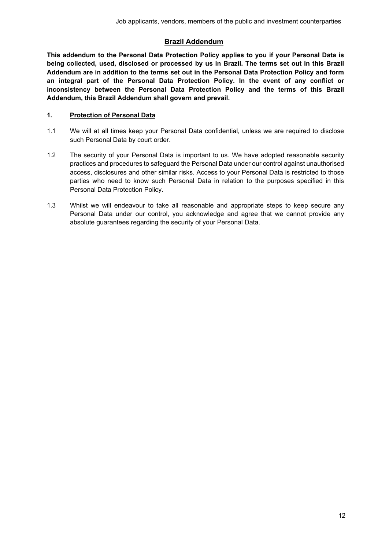# **Brazil Addendum**

<span id="page-11-0"></span>**This addendum to the Personal Data Protection Policy applies to you if your Personal Data is being collected, used, disclosed or processed by us in Brazil. The terms set out in this Brazil Addendum are in addition to the terms set out in the Personal Data Protection Policy and form an integral part of the Personal Data Protection Policy. In the event of any conflict or inconsistency between the Personal Data Protection Policy and the terms of this Brazil Addendum, this Brazil Addendum shall govern and prevail.**

# **1. Protection of Personal Data**

- 1.1 We will at all times keep your Personal Data confidential, unless we are required to disclose such Personal Data by court order.
- 1.2 The security of your Personal Data is important to us. We have adopted reasonable security practices and procedures to safeguard the Personal Data under our control against unauthorised access, disclosures and other similar risks. Access to your Personal Data is restricted to those parties who need to know such Personal Data in relation to the purposes specified in this Personal Data Protection Policy.
- 1.3 Whilst we will endeavour to take all reasonable and appropriate steps to keep secure any Personal Data under our control, you acknowledge and agree that we cannot provide any absolute guarantees regarding the security of your Personal Data.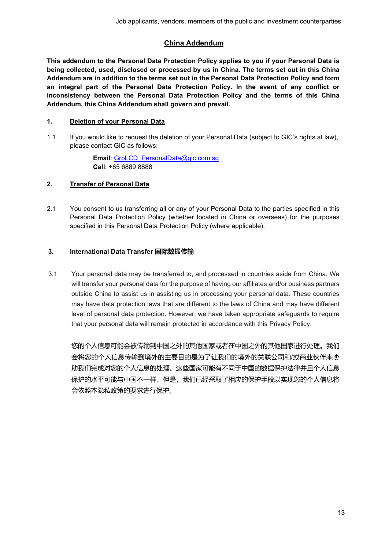# **China Addendum**

<span id="page-12-0"></span>**This addendum to the Personal Data Protection Policy applies to you if your Personal Data is being collected, used, disclosed or processed by us in China. The terms set out in this China Addendum are in addition to the terms set out in the Personal Data Protection Policy and form an integral part of the Personal Data Protection Policy. In the event of any conflict or inconsistency between the Personal Data Protection Policy and the terms of this China Addendum, this China Addendum shall govern and prevail.**

# **1. Deletion of your Personal Data**

1.1 If you would like to request the deletion of your Personal Data (subject to GIC's rights at law), please contact GIC as follows:

> **Email**: [GrpLCD\\_PersonalData@gic.com.sg](mailto:GrpLCD_PersonalData@gic.com.sg) **Call**: +65 6889 8888

## **2. Transfer of Personal Data**

2.1 You consent to us transferring all or any of your Personal Data to the parties specified in this Personal Data Protection Policy (whether located in China or overseas) for the purposes specified in this Personal Data Protection Policy (where applicable).

## **3. International Data Transfer 国际数据传输**

3.1 Your personal data may be transferred to, and processed in countries aside from China. We will transfer your personal data for the purpose of having our affiliates and/or business partners outside China to assist us in assisting us in processing your personal data. These countries may have data protection laws that are different to the laws of China and may have different level of personal data protection. However, we have taken appropriate safeguards to require that your personal data will remain protected in accordance with this Privacy Policy.

您的个人信息可能会被传输到中国之外的其他国家或者在中国之外的其他国家进行处理。我们 会将您的个人信息传输到境外的主要目的是为了让我们的境外的关联公司和/或商业伙伴来协 助我们完成对您的个人信息的处理。这些国家可能有不同于中国的数据保护法律并且个人信息 保护的水平可能与中国不一样。但是,我们已经采取了相应的保护手段以实现您的个人信息将 会依照本隐私政策的要求进行保护。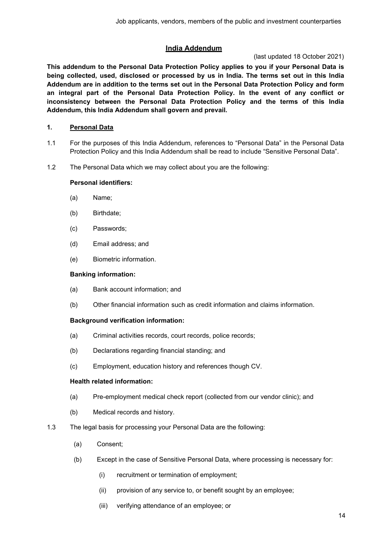# **India Addendum**

## (last updated 18 October 2021)

<span id="page-13-0"></span>**This addendum to the Personal Data Protection Policy applies to you if your Personal Data is being collected, used, disclosed or processed by us in India. The terms set out in this India Addendum are in addition to the terms set out in the Personal Data Protection Policy and form an integral part of the Personal Data Protection Policy. In the event of any conflict or inconsistency between the Personal Data Protection Policy and the terms of this India Addendum, this India Addendum shall govern and prevail.**

# **1. Personal Data**

- 1.1 For the purposes of this India Addendum, references to "Personal Data" in the Personal Data Protection Policy and this India Addendum shall be read to include "Sensitive Personal Data".
- 1.2 The Personal Data which we may collect about you are the following:

## **Personal identifiers:**

- (a) Name;
- (b) Birthdate;
- (c) Passwords;
- (d) Email address; and
- (e) Biometric information.

### **Banking information:**

- (a) Bank account information; and
- (b) Other financial information such as credit information and claims information.

### **Background verification information:**

- (a) Criminal activities records, court records, police records;
- (b) Declarations regarding financial standing; and
- (c) Employment, education history and references though CV.

### **Health related information:**

- (a) Pre-employment medical check report (collected from our vendor clinic); and
- (b) Medical records and history.
- 1.3 The legal basis for processing your Personal Data are the following:
	- (a) Consent;
	- (b) Except in the case of Sensitive Personal Data, where processing is necessary for:
		- (i) recruitment or termination of employment;
		- (ii) provision of any service to, or benefit sought by an employee;
		- (iii) verifying attendance of an employee; or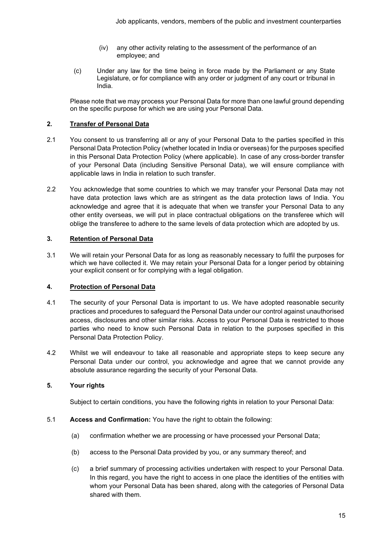- (iv) any other activity relating to the assessment of the performance of an employee; and
- (c) Under any law for the time being in force made by the Parliament or any State Legislature, or for compliance with any order or judgment of any court or tribunal in India.

Please note that we may process your Personal Data for more than one lawful ground depending on the specific purpose for which we are using your Personal Data.

# **2. Transfer of Personal Data**

- 2.1 You consent to us transferring all or any of your Personal Data to the parties specified in this Personal Data Protection Policy (whether located in India or overseas) for the purposes specified in this Personal Data Protection Policy (where applicable). In case of any cross-border transfer of your Personal Data (including Sensitive Personal Data), we will ensure compliance with applicable laws in India in relation to such transfer.
- 2.2 You acknowledge that some countries to which we may transfer your Personal Data may not have data protection laws which are as stringent as the data protection laws of India. You acknowledge and agree that it is adequate that when we transfer your Personal Data to any other entity overseas, we will put in place contractual obligations on the transferee which will oblige the transferee to adhere to the same levels of data protection which are adopted by us.

# **3. Retention of Personal Data**

3.1 We will retain your Personal Data for as long as reasonably necessary to fulfil the purposes for which we have collected it. We may retain your Personal Data for a longer period by obtaining your explicit consent or for complying with a legal obligation.

### **4. Protection of Personal Data**

- 4.1 The security of your Personal Data is important to us. We have adopted reasonable security practices and procedures to safeguard the Personal Data under our control against unauthorised access, disclosures and other similar risks. Access to your Personal Data is restricted to those parties who need to know such Personal Data in relation to the purposes specified in this Personal Data Protection Policy.
- 4.2 Whilst we will endeavour to take all reasonable and appropriate steps to keep secure any Personal Data under our control, you acknowledge and agree that we cannot provide any absolute assurance regarding the security of your Personal Data.

### **5. Your rights**

Subject to certain conditions, you have the following rights in relation to your Personal Data:

- 5.1 **Access and Confirmation:** You have the right to obtain the following:
	- (a) confirmation whether we are processing or have processed your Personal Data;
	- (b) access to the Personal Data provided by you, or any summary thereof; and
	- (c) a brief summary of processing activities undertaken with respect to your Personal Data. In this regard, you have the right to access in one place the identities of the entities with whom your Personal Data has been shared, along with the categories of Personal Data shared with them.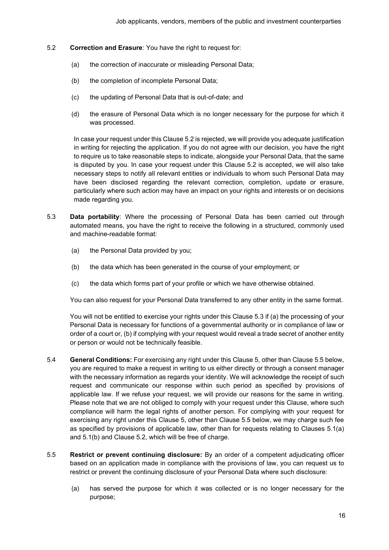- 5.2 **Correction and Erasure**: You have the right to request for:
	- (a) the correction of inaccurate or misleading Personal Data;
	- (b) the completion of incomplete Personal Data;
	- (c) the updating of Personal Data that is out-of-date; and
	- (d) the erasure of Personal Data which is no longer necessary for the purpose for which it was processed.

In case your request under this Clause 5.2 is rejected, we will provide you adequate justification in writing for rejecting the application. If you do not agree with our decision, you have the right to require us to take reasonable steps to indicate, alongside your Personal Data, that the same is disputed by you. In case your request under this Clause 5.2 is accepted, we will also take necessary steps to notify all relevant entities or individuals to whom such Personal Data may have been disclosed regarding the relevant correction, completion, update or erasure, particularly where such action may have an impact on your rights and interests or on decisions made regarding you.

- 5.3 **Data portability**: Where the processing of Personal Data has been carried out through automated means, you have the right to receive the following in a structured, commonly used and machine-readable format:
	- (a) the Personal Data provided by you;
	- (b) the data which has been generated in the course of your employment; or
	- (c) the data which forms part of your profile or which we have otherwise obtained.

You can also request for your Personal Data transferred to any other entity in the same format.

You will not be entitled to exercise your rights under this Clause 5.3 if (a) the processing of your Personal Data is necessary for functions of a governmental authority or in compliance of law or order of a court or, (b) if complying with your request would reveal a trade secret of another entity or person or would not be technically feasible.

- 5.4 **General Conditions:** For exercising any right under this Clause 5, other than Clause 5.5 below, you are required to make a request in writing to us either directly or through a consent manager with the necessary information as regards your identity. We will acknowledge the receipt of such request and communicate our response within such period as specified by provisions of applicable law. If we refuse your request, we will provide our reasons for the same in writing. Please note that we are not obliged to comply with your request under this Clause, where such compliance will harm the legal rights of another person. For complying with your request for exercising any right under this Clause 5, other than Clause 5.5 below, we may charge such fee as specified by provisions of applicable law, other than for requests relating to Clauses 5.1(a) and 5.1(b) and Clause 5.2, which will be free of charge.
- 5.5 **Restrict or prevent continuing disclosure:** By an order of a competent adjudicating officer based on an application made in compliance with the provisions of law, you can request us to restrict or prevent the continuing disclosure of your Personal Data where such disclosure:
	- (a) has served the purpose for which it was collected or is no longer necessary for the purpose;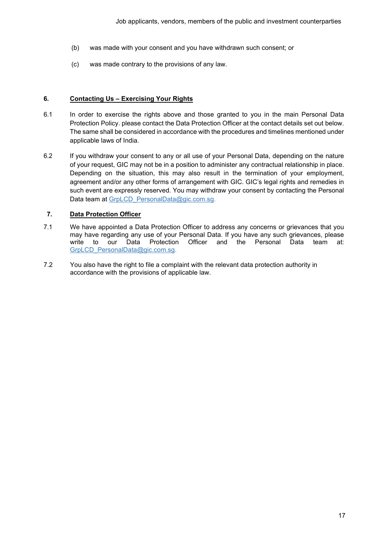- (b) was made with your consent and you have withdrawn such consent; or
- (c) was made contrary to the provisions of any law.

### **6. Contacting Us – Exercising Your Rights**

- 6.1 In order to exercise the rights above and those granted to you in the main Personal Data Protection Policy. please contact the Data Protection Officer at the contact details set out below. The same shall be considered in accordance with the procedures and timelines mentioned under applicable laws of India.
- 6.2 If you withdraw your consent to any or all use of your Personal Data, depending on the nature of your request, GIC may not be in a position to administer any contractual relationship in place. Depending on the situation, this may also result in the termination of your employment, agreement and/or any other forms of arrangement with GIC. GIC's legal rights and remedies in such event are expressly reserved. You may withdraw your consent by contacting the Personal Data team at GrpLCD PersonalData@gic.com.sg.

# **7. Data Protection Officer**

- 7.1 We have appointed a Data Protection Officer to address any concerns or grievances that you may have regarding any use of your Personal Data. If you have any such grievances, please to our Data Protection Officer and the Personal Data team at: [GrpLCD\\_PersonalData@gic.com.sg.](mailto:GrpLCD_PersonalData@gic.com.sg)
- 7.2 You also have the right to file a complaint with the relevant data protection authority in accordance with the provisions of applicable law.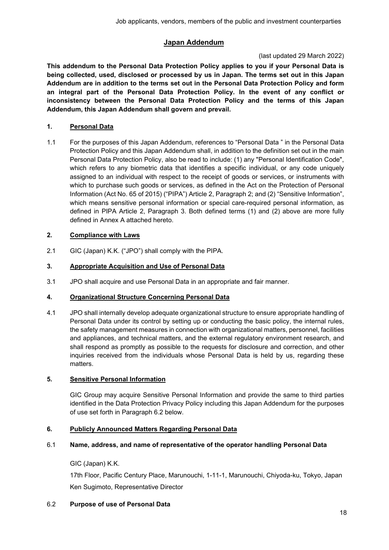# **Japan Addendum**

# (last updated 29 March 2022)

<span id="page-17-0"></span>**This addendum to the Personal Data Protection Policy applies to you if your Personal Data is being collected, used, disclosed or processed by us in Japan. The terms set out in this Japan Addendum are in addition to the terms set out in the Personal Data Protection Policy and form an integral part of the Personal Data Protection Policy. In the event of any conflict or inconsistency between the Personal Data Protection Policy and the terms of this Japan Addendum, this Japan Addendum shall govern and prevail.**

# **1. Personal Data**

1.1 For the purposes of this Japan Addendum, references to "Personal Data " in the Personal Data Protection Policy and this Japan Addendum shall, in addition to the definition set out in the main Personal Data Protection Policy, also be read to include: (1) any "Personal Identification Code", which refers to any biometric data that identifies a specific individual, or any code uniquely assigned to an individual with respect to the receipt of goods or services, or instruments with which to purchase such goods or services, as defined in the Act on the Protection of Personal Information (Act No. 65 of 2015) ("PIPA") Article 2, Paragraph 2; and (2) "Sensitive Information", which means sensitive personal information or special care-required personal information, as defined in PIPA Article 2, Paragraph 3. Both defined terms (1) and (2) above are more fully defined in Annex A attached hereto.

# **2. Compliance with Laws**

2.1 GIC (Japan) K.K. ("JPO") shall comply with the PIPA.

# **3. Appropriate Acquisition and Use of Personal Data**

3.1 JPO shall acquire and use Personal Data in an appropriate and fair manner.

# **4. Organizational Structure Concerning Personal Data**

4.1 JPO shall internally develop adequate organizational structure to ensure appropriate handling of Personal Data under its control by setting up or conducting the basic policy, the internal rules, the safety management measures in connection with organizational matters, personnel, facilities and appliances, and technical matters, and the external regulatory environment research, and shall respond as promptly as possible to the requests for disclosure and correction, and other inquiries received from the individuals whose Personal Data is held by us, regarding these matters.

# **5. Sensitive Personal Information**

GIC Group may acquire Sensitive Personal Information and provide the same to third parties identified in the Data Protection Privacy Policy including this Japan Addendum for the purposes of use set forth in Paragraph 6.2 below.

# **6. Publicly Announced Matters Regarding Personal Data**

# 6.1 **Name, address, and name of representative of the operator handling Personal Data**

GIC (Japan) K.K.

17th Floor, Pacific Century Place, Marunouchi, 1-11-1, Marunouchi, Chiyoda-ku, Tokyo, Japan Ken Sugimoto, Representative Director

# 6.2 **Purpose of use of Personal Data**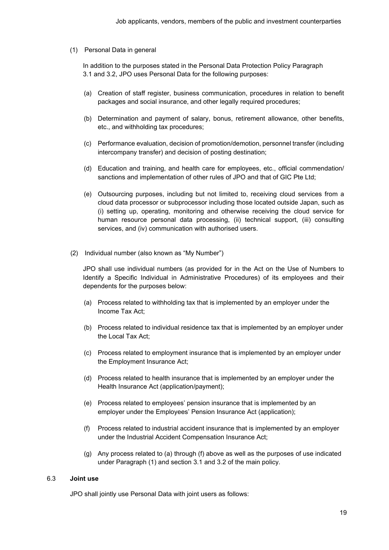(1) Personal Data in general

In addition to the purposes stated in the Personal Data Protection Policy Paragraph 3.1 and 3.2, JPO uses Personal Data for the following purposes:

- (a) Creation of staff register, business communication, procedures in relation to benefit packages and social insurance, and other legally required procedures;
- (b) Determination and payment of salary, bonus, retirement allowance, other benefits, etc., and withholding tax procedures;
- (c) Performance evaluation, decision of promotion/demotion, personnel transfer (including intercompany transfer) and decision of posting destination;
- (d) Education and training, and health care for employees, etc., official commendation/ sanctions and implementation of other rules of JPO and that of GIC Pte Ltd;
- (e) Outsourcing purposes, including but not limited to, receiving cloud services from a cloud data processor or subprocessor including those located outside Japan, such as (i) setting up, operating, monitoring and otherwise receiving the cloud service for human resource personal data processing, (ii) technical support, (iii) consulting services, and (iv) communication with authorised users.
- (2) Individual number (also known as "My Number")

JPO shall use individual numbers (as provided for in the Act on the Use of Numbers to Identify a Specific Individual in Administrative Procedures) of its employees and their dependents for the purposes below:

- (a) Process related to withholding tax that is implemented by an employer under the Income Tax Act;
- (b) Process related to individual residence tax that is implemented by an employer under the Local Tax Act;
- (c) Process related to employment insurance that is implemented by an employer under the Employment Insurance Act;
- (d) Process related to health insurance that is implemented by an employer under the Health Insurance Act (application/payment);
- (e) Process related to employees' pension insurance that is implemented by an employer under the Employees' Pension Insurance Act (application);
- (f) Process related to industrial accident insurance that is implemented by an employer under the Industrial Accident Compensation Insurance Act;
- (g) Any process related to (a) through (f) above as well as the purposes of use indicated under Paragraph (1) and section 3.1 and 3.2 of the main policy.

#### 6.3 **Joint use**

JPO shall jointly use Personal Data with joint users as follows: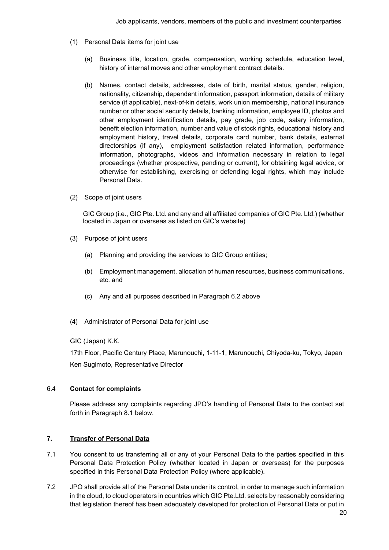- (1) Personal Data items for joint use
	- (a) Business title, location, grade, compensation, working schedule, education level, history of internal moves and other employment contract details.
	- (b) Names, contact details, addresses, date of birth, marital status, gender, religion, nationality, citizenship, dependent information, passport information, details of military service (if applicable), next-of-kin details, work union membership, national insurance number or other social security details, banking information, employee ID, photos and other employment identification details, pay grade, job code, salary information, benefit election information, number and value of stock rights, educational history and employment history, travel details, corporate card number, bank details, external directorships (if any), employment satisfaction related information, performance information, photographs, videos and information necessary in relation to legal proceedings (whether prospective, pending or current), for obtaining legal advice, or otherwise for establishing, exercising or defending legal rights, which may include Personal Data.
- (2) Scope of joint users

GIC Group (i.e., GIC Pte. Ltd. and any and all affiliated companies of GIC Pte. Ltd.) (whether located in Japan or overseas as listed on GIC's website)

- (3) Purpose of joint users
	- (a) Planning and providing the services to GIC Group entities;
	- (b) Employment management, allocation of human resources, business communications, etc. and
	- (c) Any and all purposes described in Paragraph 6.2 above
- (4) Administrator of Personal Data for joint use
- GIC (Japan) K.K.

17th Floor, Pacific Century Place, Marunouchi, 1-11-1, Marunouchi, Chiyoda-ku, Tokyo, Japan Ken Sugimoto, Representative Director

### 6.4 **Contact for complaints**

Please address any complaints regarding JPO's handling of Personal Data to the contact set forth in Paragraph 8.1 below.

## **7. Transfer of Personal Data**

- 7.1 You consent to us transferring all or any of your Personal Data to the parties specified in this Personal Data Protection Policy (whether located in Japan or overseas) for the purposes specified in this Personal Data Protection Policy (where applicable).
- 7.2 JPO shall provide all of the Personal Data under its control, in order to manage such information in the cloud, to cloud operators in countries which GIC Pte.Ltd. selects by reasonably considering that legislation thereof has been adequately developed for protection of Personal Data or put in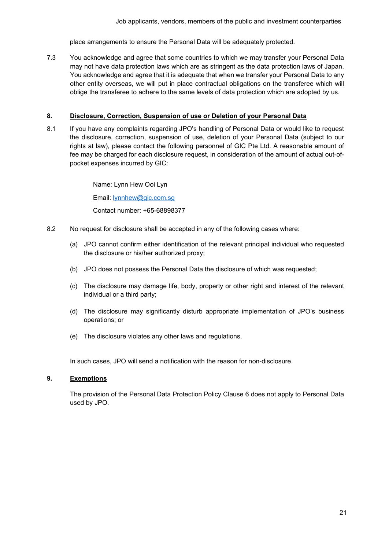place arrangements to ensure the Personal Data will be adequately protected.

7.3 You acknowledge and agree that some countries to which we may transfer your Personal Data may not have data protection laws which are as stringent as the data protection laws of Japan. You acknowledge and agree that it is adequate that when we transfer your Personal Data to any other entity overseas, we will put in place contractual obligations on the transferee which will oblige the transferee to adhere to the same levels of data protection which are adopted by us.

### **8. Disclosure, Correction, Suspension of use or Deletion of your Personal Data**

8.1 If you have any complaints regarding JPO's handling of Personal Data or would like to request the disclosure, correction, suspension of use, deletion of your Personal Data (subject to our rights at law), please contact the following personnel of GIC Pte Ltd. A reasonable amount of fee may be charged for each disclosure request, in consideration of the amount of actual out-ofpocket expenses incurred by GIC:

> Name: Lynn Hew Ooi Lyn Email: [lynnhew@gic.com.sg](mailto:lynnhew@gic.com.sg) Contact number: +65-68898377

- 8.2 No request for disclosure shall be accepted in any of the following cases where:
	- (a) JPO cannot confirm either identification of the relevant principal individual who requested the disclosure or his/her authorized proxy;
	- (b) JPO does not possess the Personal Data the disclosure of which was requested;
	- (c) The disclosure may damage life, body, property or other right and interest of the relevant individual or a third party;
	- (d) The disclosure may significantly disturb appropriate implementation of JPO's business operations; or
	- (e) The disclosure violates any other laws and regulations.

In such cases, JPO will send a notification with the reason for non-disclosure.

### **9. Exemptions**

The provision of the Personal Data Protection Policy Clause 6 does not apply to Personal Data used by JPO.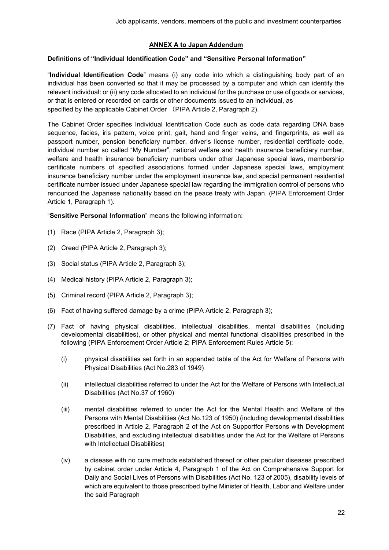### **ANNEX A to Japan Addendum**

### **Definitions of "Individual Identification Code" and "Sensitive Personal Information"**

"**Individual Identification Code**" means (i) any code into which a distinguishing body part of an individual has been converted so that it may be processed by a computer and which can identify the relevant individual: or (ii) any code allocated to an individual for the purchase or use of goods or services, or that is entered or recorded on cards or other documents issued to an individual, as specified by the applicable Cabinet Order (PIPA Article 2, Paragraph 2).

The Cabinet Order specifies Individual Identification Code such as code data regarding DNA base sequence, facies, iris pattern, voice print, gait, hand and finger veins, and fingerprints, as well as passport number, pension beneficiary number, driver's license number, residential certificate code, individual number so called "My Number", national welfare and health insurance beneficiary number, welfare and health insurance beneficiary numbers under other Japanese special laws, membership certificate numbers of specified associations formed under Japanese special laws, employment insurance beneficiary number under the employment insurance law, and special permanent residential certificate number issued under Japanese special law regarding the immigration control of persons who renounced the Japanese nationality based on the peace treaty with Japan. (PIPA Enforcement Order Article 1, Paragraph 1).

"**Sensitive Personal Information**" means the following information:

- (1) Race (PIPA Article 2, Paragraph 3);
- (2) Creed (PIPA Article 2, Paragraph 3);
- (3) Social status (PIPA Article 2, Paragraph 3);
- (4) Medical history (PIPA Article 2, Paragraph 3);
- (5) Criminal record (PIPA Article 2, Paragraph 3);
- (6) Fact of having suffered damage by a crime (PIPA Article 2, Paragraph 3);
- (7) Fact of having physical disabilities, intellectual disabilities, mental disabilities (including developmental disabilities), or other physical and mental functional disabilities prescribed in the following (PIPA Enforcement Order Article 2; PIPA Enforcement Rules Article 5):
	- (i) physical disabilities set forth in an appended table of the Act for Welfare of Persons with Physical Disabilities (Act No.283 of 1949)
	- (ii) intellectual disabilities referred to under the Act for the Welfare of Persons with Intellectual Disabilities (Act No.37 of 1960)
	- (iii) mental disabilities referred to under the Act for the Mental Health and Welfare of the Persons with Mental Disabilities (Act No.123 of 1950) (including developmental disabilities prescribed in Article 2, Paragraph 2 of the Act on Supportfor Persons with Development Disabilities, and excluding intellectual disabilities under the Act for the Welfare of Persons with Intellectual Disabilities)
	- (iv) a disease with no cure methods established thereof or other peculiar diseases prescribed by cabinet order under Article 4, Paragraph 1 of the Act on Comprehensive Support for Daily and Social Lives of Persons with Disabilities (Act No. 123 of 2005), disability levels of which are equivalent to those prescribed bythe Minister of Health, Labor and Welfare under the said Paragraph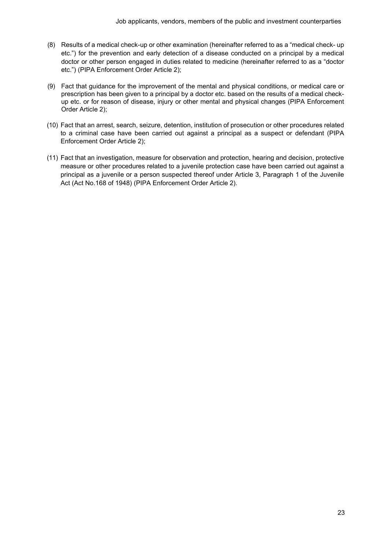- (8) Results of a medical check-up or other examination (hereinafter referred to as a "medical check- up etc.") for the prevention and early detection of a disease conducted on a principal by a medical doctor or other person engaged in duties related to medicine (hereinafter referred to as a "doctor etc.") (PIPA Enforcement Order Article 2);
- (9) Fact that guidance for the improvement of the mental and physical conditions, or medical care or prescription has been given to a principal by a doctor etc. based on the results of a medical checkup etc. or for reason of disease, injury or other mental and physical changes (PIPA Enforcement Order Article 2);
- (10) Fact that an arrest, search, seizure, detention, institution of prosecution or other procedures related to a criminal case have been carried out against a principal as a suspect or defendant (PIPA Enforcement Order Article 2);
- (11) Fact that an investigation, measure for observation and protection, hearing and decision, protective measure or other procedures related to a juvenile protection case have been carried out against a principal as a juvenile or a person suspected thereof under Article 3, Paragraph 1 of the Juvenile Act (Act No.168 of 1948) (PIPA Enforcement Order Article 2).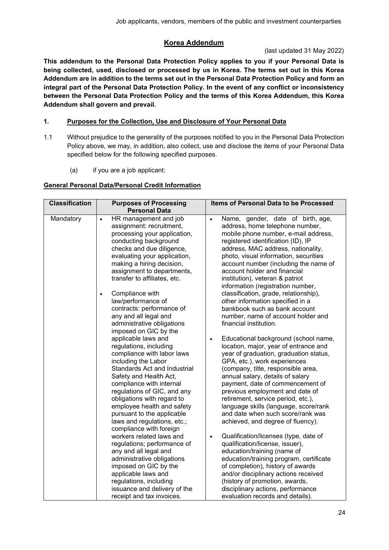# **Korea Addendum**

## (last updated 31 May 2022)

<span id="page-23-0"></span>**This addendum to the Personal Data Protection Policy applies to you if your Personal Data is being collected, used, disclosed or processed by us in Korea. The terms set out in this Korea Addendum are in addition to the terms set out in the Personal Data Protection Policy and form an integral part of the Personal Data Protection Policy. In the event of any conflict or inconsistency between the Personal Data Protection Policy and the terms of this Korea Addendum, this Korea Addendum shall govern and prevail.**

# **1. Purposes for the Collection, Use and Disclosure of Your Personal Data**

- 1.1 Without prejudice to the generality of the purposes notified to you in the Personal Data Protection Policy above, we may, in addition, also collect, use and disclose the items of your Personal Data specified below for the following specified purposes.
	- (a) if you are a job applicant:

# **General Personal Data/Personal Credit Information**

| <b>Classification</b> | <b>Purposes of Processing</b>                                                                                                                                                                                                                                                                                                                                                                                                                                                                                                                                                                                                                                                                                                                                                                                                                                                                            | <b>Items of Personal Data to be Processed</b>                                                                                                                                                                                                                                                                                                                                                                                                                                                                                                                                                                                                                                                                                                                                                                                                                                                                                                                                                                                                                                                                                                                                           |  |
|-----------------------|----------------------------------------------------------------------------------------------------------------------------------------------------------------------------------------------------------------------------------------------------------------------------------------------------------------------------------------------------------------------------------------------------------------------------------------------------------------------------------------------------------------------------------------------------------------------------------------------------------------------------------------------------------------------------------------------------------------------------------------------------------------------------------------------------------------------------------------------------------------------------------------------------------|-----------------------------------------------------------------------------------------------------------------------------------------------------------------------------------------------------------------------------------------------------------------------------------------------------------------------------------------------------------------------------------------------------------------------------------------------------------------------------------------------------------------------------------------------------------------------------------------------------------------------------------------------------------------------------------------------------------------------------------------------------------------------------------------------------------------------------------------------------------------------------------------------------------------------------------------------------------------------------------------------------------------------------------------------------------------------------------------------------------------------------------------------------------------------------------------|--|
|                       | <b>Personal Data</b>                                                                                                                                                                                                                                                                                                                                                                                                                                                                                                                                                                                                                                                                                                                                                                                                                                                                                     |                                                                                                                                                                                                                                                                                                                                                                                                                                                                                                                                                                                                                                                                                                                                                                                                                                                                                                                                                                                                                                                                                                                                                                                         |  |
| Mandatory             | HR management and job<br>$\bullet$<br>assignment: recruitment,<br>processing your application,<br>conducting background<br>checks and due diligence,<br>evaluating your application,<br>making a hiring decision,<br>assignment to departments,<br>transfer to affiliates, etc.<br>Compliance with<br>law/performance of<br>contracts: performance of<br>any and all legal and<br>administrative obligations<br>imposed on GIC by the<br>applicable laws and<br>regulations, including<br>compliance with labor laws<br>including the Labor<br>Standards Act and Industrial<br>Safety and Health Act,<br>compliance with internal<br>regulations of GIC, and any<br>obligations with regard to<br>employee health and safety<br>pursuant to the applicable<br>laws and regulations, etc.;<br>compliance with foreign<br>workers related laws and<br>regulations; performance of<br>any and all legal and | Name, gender, date of birth, age,<br>$\bullet$<br>address, home telephone number,<br>mobile phone number, e-mail address,<br>registered identification (ID), IP<br>address, MAC address, nationality,<br>photo, visual information, securities<br>account number (including the name of<br>account holder and financial<br>institution), veteran & patriot<br>information (registration number,<br>classification, grade, relationship),<br>other information specified in a<br>bankbook such as bank account<br>number, name of account holder and<br>financial institution.<br>Educational background (school name,<br>$\bullet$<br>location, major, year of entrance and<br>year of graduation, graduation status,<br>GPA, etc.), work experiences<br>(company, title, responsible area,<br>annual salary, details of salary<br>payment, date of commencement of<br>previous employment and date of<br>retirement, service period, etc.),<br>language skills (language, score/rank<br>and date when such score/rank was<br>achieved, and degree of fluency).<br>Qualification/licenses (type, date of<br>$\bullet$<br>qualification/license, issuer),<br>education/training (name of |  |
|                       | administrative obligations                                                                                                                                                                                                                                                                                                                                                                                                                                                                                                                                                                                                                                                                                                                                                                                                                                                                               | education/training program, certificate                                                                                                                                                                                                                                                                                                                                                                                                                                                                                                                                                                                                                                                                                                                                                                                                                                                                                                                                                                                                                                                                                                                                                 |  |
|                       | imposed on GIC by the                                                                                                                                                                                                                                                                                                                                                                                                                                                                                                                                                                                                                                                                                                                                                                                                                                                                                    | of completion), history of awards                                                                                                                                                                                                                                                                                                                                                                                                                                                                                                                                                                                                                                                                                                                                                                                                                                                                                                                                                                                                                                                                                                                                                       |  |
|                       | applicable laws and                                                                                                                                                                                                                                                                                                                                                                                                                                                                                                                                                                                                                                                                                                                                                                                                                                                                                      | and/or disciplinary actions received                                                                                                                                                                                                                                                                                                                                                                                                                                                                                                                                                                                                                                                                                                                                                                                                                                                                                                                                                                                                                                                                                                                                                    |  |
|                       | regulations, including                                                                                                                                                                                                                                                                                                                                                                                                                                                                                                                                                                                                                                                                                                                                                                                                                                                                                   | (history of promotion, awards,                                                                                                                                                                                                                                                                                                                                                                                                                                                                                                                                                                                                                                                                                                                                                                                                                                                                                                                                                                                                                                                                                                                                                          |  |
|                       | issuance and delivery of the                                                                                                                                                                                                                                                                                                                                                                                                                                                                                                                                                                                                                                                                                                                                                                                                                                                                             | disciplinary actions, performance                                                                                                                                                                                                                                                                                                                                                                                                                                                                                                                                                                                                                                                                                                                                                                                                                                                                                                                                                                                                                                                                                                                                                       |  |
|                       | receipt and tax invoices.                                                                                                                                                                                                                                                                                                                                                                                                                                                                                                                                                                                                                                                                                                                                                                                                                                                                                | evaluation records and details).                                                                                                                                                                                                                                                                                                                                                                                                                                                                                                                                                                                                                                                                                                                                                                                                                                                                                                                                                                                                                                                                                                                                                        |  |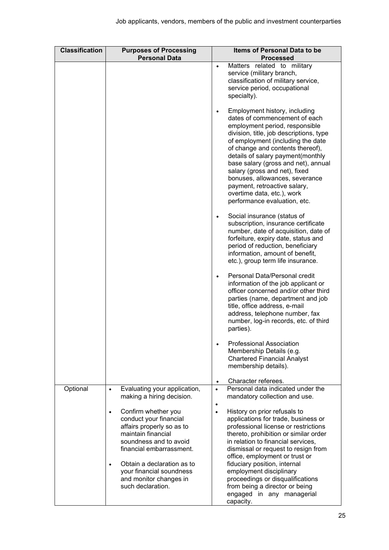| <b>Classification</b> | <b>Purposes of Processing</b><br><b>Personal Data</b>                                                                                                               | Items of Personal Data to be<br><b>Processed</b>                                                                                                                                                                                                                                                                                                                                                                                                                               |  |  |
|-----------------------|---------------------------------------------------------------------------------------------------------------------------------------------------------------------|--------------------------------------------------------------------------------------------------------------------------------------------------------------------------------------------------------------------------------------------------------------------------------------------------------------------------------------------------------------------------------------------------------------------------------------------------------------------------------|--|--|
|                       |                                                                                                                                                                     | Matters related to military<br>$\bullet$<br>service (military branch,<br>classification of military service,<br>service period, occupational<br>specialty).                                                                                                                                                                                                                                                                                                                    |  |  |
|                       |                                                                                                                                                                     | Employment history, including<br>$\bullet$<br>dates of commencement of each<br>employment period, responsible<br>division, title, job descriptions, type<br>of employment (including the date<br>of change and contents thereof),<br>details of salary payment(monthly<br>base salary (gross and net), annual<br>salary (gross and net), fixed<br>bonuses, allowances, severance<br>payment, retroactive salary,<br>overtime data, etc.), work<br>performance evaluation, etc. |  |  |
|                       |                                                                                                                                                                     | Social insurance (status of<br>$\bullet$<br>subscription, insurance certificate<br>number, date of acquisition, date of<br>forfeiture, expiry date, status and<br>period of reduction, beneficiary<br>information, amount of benefit,<br>etc.), group term life insurance.                                                                                                                                                                                                     |  |  |
|                       |                                                                                                                                                                     | Personal Data/Personal credit<br>$\bullet$<br>information of the job applicant or<br>officer concerned and/or other third<br>parties (name, department and job<br>title, office address, e-mail<br>address, telephone number, fax<br>number, log-in records, etc. of third<br>parties).                                                                                                                                                                                        |  |  |
|                       |                                                                                                                                                                     | <b>Professional Association</b><br>Membership Details (e.g.<br><b>Chartered Financial Analyst</b><br>membership details).                                                                                                                                                                                                                                                                                                                                                      |  |  |
|                       |                                                                                                                                                                     | Character referees.<br>$\bullet$                                                                                                                                                                                                                                                                                                                                                                                                                                               |  |  |
| Optional              | Evaluating your application,<br>making a hiring decision.                                                                                                           | Personal data indicated under the<br>mandatory collection and use.<br>$\bullet$                                                                                                                                                                                                                                                                                                                                                                                                |  |  |
|                       | Confirm whether you<br>$\bullet$<br>conduct your financial<br>affairs properly so as to<br>maintain financial<br>soundness and to avoid<br>financial embarrassment. | History on prior refusals to<br>$\bullet$<br>applications for trade, business or<br>professional license or restrictions<br>thereto, prohibition or similar order<br>in relation to financial services,<br>dismissal or request to resign from<br>office, employment or trust or                                                                                                                                                                                               |  |  |
|                       | Obtain a declaration as to<br>$\bullet$<br>your financial soundness<br>and monitor changes in<br>such declaration.                                                  | fiduciary position, internal<br>employment disciplinary<br>proceedings or disqualifications<br>from being a director or being<br>engaged in any managerial<br>capacity.                                                                                                                                                                                                                                                                                                        |  |  |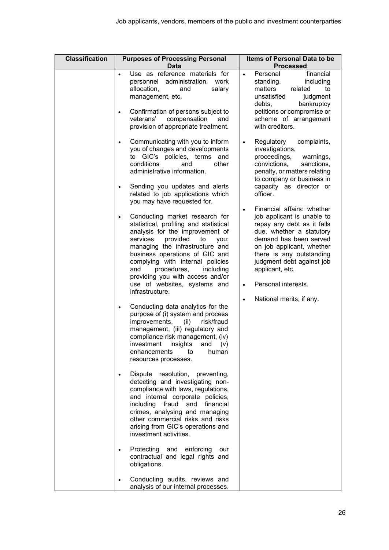| <b>Classification</b> | <b>Purposes of Processing Personal</b><br><b>Data</b>                                                                                                                                                                                                                                                                                                                                | Items of Personal Data to be<br><b>Processed</b>                                                                                                                                                                                                                                                       |  |  |
|-----------------------|--------------------------------------------------------------------------------------------------------------------------------------------------------------------------------------------------------------------------------------------------------------------------------------------------------------------------------------------------------------------------------------|--------------------------------------------------------------------------------------------------------------------------------------------------------------------------------------------------------------------------------------------------------------------------------------------------------|--|--|
|                       | Use as reference materials for<br>$\bullet$<br>personnel administration, work<br>allocation,<br>salary<br>and<br>management, etc.<br>Confirmation of persons subject to<br>$\bullet$<br>veterans' compensation<br>and<br>provision of appropriate treatment.                                                                                                                         | financial<br>Personal<br>$\bullet$<br>standing,<br>including<br>matters<br>related<br>to<br>unsatisfied<br>judgment<br>debts,<br>bankruptcy<br>petitions or compromise or<br>scheme of arrangement<br>with creditors.                                                                                  |  |  |
|                       | Communicating with you to inform<br>$\bullet$<br>you of changes and developments<br>to GIC's policies, terms and<br>conditions<br>other<br>and<br>administrative information.<br>Sending you updates and alerts<br>$\bullet$<br>related to job applications which<br>you may have requested for.                                                                                     | Regulatory<br>complaints,<br>$\bullet$<br>investigations,<br>proceedings,<br>warnings,<br>convictions,<br>sanctions,<br>penalty, or matters relating<br>to company or business in<br>capacity as director or<br>officer.                                                                               |  |  |
|                       | Conducting market research for<br>statistical, profiling and statistical<br>analysis for the improvement of<br>provided<br>services<br>to<br>you;<br>managing the infrastructure and<br>business operations of GIC and<br>complying with internal policies<br>procedures,<br>and<br>including<br>providing you with access and/or<br>use of websites, systems and<br>infrastructure. | Financial affairs: whether<br>$\bullet$<br>job applicant is unable to<br>repay any debt as it falls<br>due, whether a statutory<br>demand has been served<br>on job applicant, whether<br>there is any outstanding<br>judgment debt against job<br>applicant, etc.<br>Personal interests.<br>$\bullet$ |  |  |
|                       | Conducting data analytics for the<br>$\bullet$<br>purpose of (i) system and process<br>improvements,<br>risk/fraud<br>(ii)<br>management, (iii) regulatory and<br>compliance risk management, (iv)<br>investment insights and (v)<br>enhancements<br>to<br>human<br>resources processes.                                                                                             | National merits, if any.<br>$\bullet$                                                                                                                                                                                                                                                                  |  |  |
|                       | Dispute resolution, preventing,<br>٠<br>detecting and investigating non-<br>compliance with laws, regulations,<br>and internal corporate policies,<br>including fraud and financial<br>crimes, analysing and managing<br>other commercial risks and risks<br>arising from GIC's operations and<br>investment activities.                                                             |                                                                                                                                                                                                                                                                                                        |  |  |
|                       | Protecting and<br>enforcing<br>our<br>٠<br>contractual and legal rights and<br>obligations.                                                                                                                                                                                                                                                                                          |                                                                                                                                                                                                                                                                                                        |  |  |
|                       | Conducting audits, reviews and<br>analysis of our internal processes.                                                                                                                                                                                                                                                                                                                |                                                                                                                                                                                                                                                                                                        |  |  |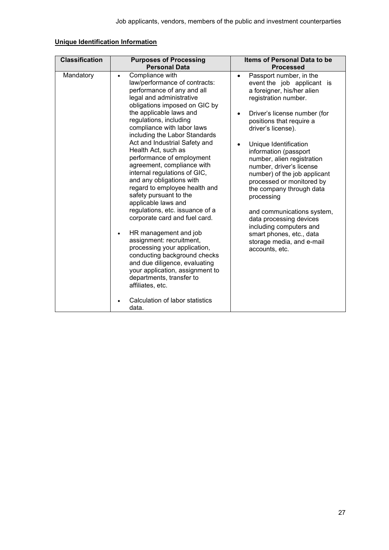| <b>Classification</b> | <b>Purposes of Processing</b>                                                                                                                                                                                                                                                                                                                                                                                                                                                                                                                                                                                                                                                                                                                                                                                                                                                                                       | Items of Personal Data to be                                                                                                                                                                                                                                                                                                                                                                                                                                                                                                                                                                              |  |  |
|-----------------------|---------------------------------------------------------------------------------------------------------------------------------------------------------------------------------------------------------------------------------------------------------------------------------------------------------------------------------------------------------------------------------------------------------------------------------------------------------------------------------------------------------------------------------------------------------------------------------------------------------------------------------------------------------------------------------------------------------------------------------------------------------------------------------------------------------------------------------------------------------------------------------------------------------------------|-----------------------------------------------------------------------------------------------------------------------------------------------------------------------------------------------------------------------------------------------------------------------------------------------------------------------------------------------------------------------------------------------------------------------------------------------------------------------------------------------------------------------------------------------------------------------------------------------------------|--|--|
|                       | <b>Personal Data</b>                                                                                                                                                                                                                                                                                                                                                                                                                                                                                                                                                                                                                                                                                                                                                                                                                                                                                                | <b>Processed</b>                                                                                                                                                                                                                                                                                                                                                                                                                                                                                                                                                                                          |  |  |
| Mandatory             | Compliance with<br>$\bullet$<br>law/performance of contracts:<br>performance of any and all<br>legal and administrative<br>obligations imposed on GIC by<br>the applicable laws and<br>regulations, including<br>compliance with labor laws<br>including the Labor Standards<br>Act and Industrial Safety and<br>Health Act, such as<br>performance of employment<br>agreement, compliance with<br>internal regulations of GIC,<br>and any obligations with<br>regard to employee health and<br>safety pursuant to the<br>applicable laws and<br>regulations, etc. issuance of a<br>corporate card and fuel card.<br>HR management and job<br>$\bullet$<br>assignment: recruitment,<br>processing your application,<br>conducting background checks<br>and due diligence, evaluating<br>your application, assignment to<br>departments, transfer to<br>affiliates, etc.<br>Calculation of labor statistics<br>data. | Passport number, in the<br>$\bullet$<br>event the job applicant is<br>a foreigner, his/her alien<br>registration number.<br>Driver's license number (for<br>positions that require a<br>driver's license).<br>Unique Identification<br>$\bullet$<br>information (passport<br>number, alien registration<br>number, driver's license<br>number) of the job applicant<br>processed or monitored by<br>the company through data<br>processing<br>and communications system,<br>data processing devices<br>including computers and<br>smart phones, etc., data<br>storage media, and e-mail<br>accounts, etc. |  |  |

# **Unique Identification Information**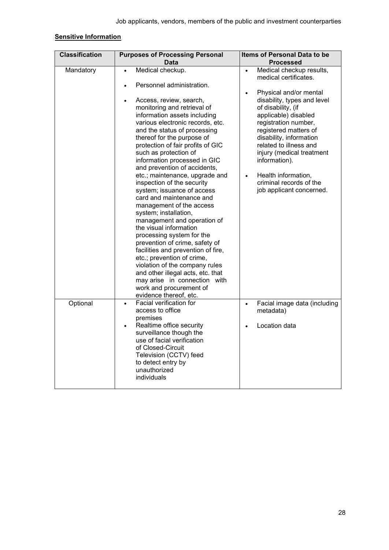# **Sensitive Information**

| <b>Classification</b> | <b>Purposes of Processing Personal</b><br>Items of Personal Data to be                                                                                                                                                                                                                                                                                                                                                                                                                                                              |                                                                                                                                                                                                                                                                                    |  |
|-----------------------|-------------------------------------------------------------------------------------------------------------------------------------------------------------------------------------------------------------------------------------------------------------------------------------------------------------------------------------------------------------------------------------------------------------------------------------------------------------------------------------------------------------------------------------|------------------------------------------------------------------------------------------------------------------------------------------------------------------------------------------------------------------------------------------------------------------------------------|--|
|                       |                                                                                                                                                                                                                                                                                                                                                                                                                                                                                                                                     |                                                                                                                                                                                                                                                                                    |  |
| Mandatory             | Data<br>Medical checkup.<br>$\bullet$<br>Personnel administration.<br>Access, review, search,<br>$\bullet$<br>monitoring and retrieval of<br>information assets including<br>various electronic records, etc.<br>and the status of processing<br>thereof for the purpose of                                                                                                                                                                                                                                                         | <b>Processed</b><br>Medical checkup results,<br>$\bullet$<br>medical certificates.<br>Physical and/or mental<br>$\bullet$<br>disability, types and level<br>of disability, (if<br>applicable) disabled<br>registration number,<br>registered matters of<br>disability, information |  |
|                       | protection of fair profits of GIC<br>such as protection of<br>information processed in GIC<br>and prevention of accidents,                                                                                                                                                                                                                                                                                                                                                                                                          | related to illness and<br>injury (medical treatment<br>information).                                                                                                                                                                                                               |  |
|                       | etc.; maintenance, upgrade and<br>inspection of the security<br>system; issuance of access<br>card and maintenance and<br>management of the access<br>system; installation,<br>management and operation of<br>the visual information<br>processing system for the<br>prevention of crime, safety of<br>facilities and prevention of fire,<br>etc.; prevention of crime,<br>violation of the company rules<br>and other illegal acts, etc. that<br>may arise in connection with<br>work and procurement of<br>evidence thereof, etc. | Health information,<br>$\bullet$<br>criminal records of the<br>job applicant concerned.                                                                                                                                                                                            |  |
| Optional              | Facial verification for<br>$\bullet$<br>access to office<br>premises<br>Realtime office security<br>$\bullet$<br>surveillance though the<br>use of facial verification<br>of Closed-Circuit<br>Television (CCTV) feed<br>to detect entry by<br>unauthorized<br>individuals                                                                                                                                                                                                                                                          | Facial image data (including<br>$\bullet$<br>metadata)<br>Location data<br>$\bullet$                                                                                                                                                                                               |  |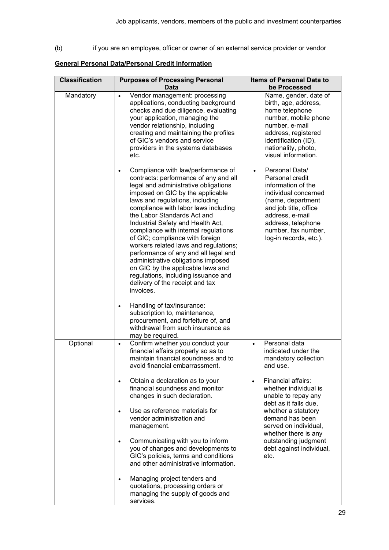(b) if you are an employee, officer or owner of an external service provider or vendor

# **General Personal Data/Personal Credit Information**

| <b>Classification</b> | <b>Purposes of Processing Personal</b><br><b>Data</b>                                                                                                                                                                                                                                                                                                                                                                                                                                                                                                                                                                                | <b>Items of Personal Data to</b><br>be Processed                                                                                                                                                                                     |  |  |
|-----------------------|--------------------------------------------------------------------------------------------------------------------------------------------------------------------------------------------------------------------------------------------------------------------------------------------------------------------------------------------------------------------------------------------------------------------------------------------------------------------------------------------------------------------------------------------------------------------------------------------------------------------------------------|--------------------------------------------------------------------------------------------------------------------------------------------------------------------------------------------------------------------------------------|--|--|
| Mandatory             | Vendor management: processing<br>$\bullet$<br>applications, conducting background<br>checks and due diligence, evaluating<br>your application, managing the<br>vendor relationship, including<br>creating and maintaining the profiles<br>of GIC's vendors and service<br>providers in the systems databases<br>etc.                                                                                                                                                                                                                                                                                                                 | Name, gender, date of<br>birth, age, address,<br>home telephone<br>number, mobile phone<br>number, e-mail<br>address, registered<br>identification (ID),<br>nationality, photo,<br>visual information.                               |  |  |
|                       | Compliance with law/performance of<br>contracts: performance of any and all<br>legal and administrative obligations<br>imposed on GIC by the applicable<br>laws and regulations, including<br>compliance with labor laws including<br>the Labor Standards Act and<br>Industrial Safety and Health Act,<br>compliance with internal regulations<br>of GIC; compliance with foreign<br>workers related laws and regulations;<br>performance of any and all legal and<br>administrative obligations imposed<br>on GIC by the applicable laws and<br>regulations, including issuance and<br>delivery of the receipt and tax<br>invoices. | Personal Data/<br>$\bullet$<br>Personal credit<br>information of the<br>individual concerned<br>(name, department<br>and job title, office<br>address, e-mail<br>address, telephone<br>number, fax number,<br>log-in records, etc.). |  |  |
|                       | Handling of tax/insurance:<br>$\bullet$<br>subscription to, maintenance,<br>procurement, and forfeiture of, and<br>withdrawal from such insurance as<br>may be required.                                                                                                                                                                                                                                                                                                                                                                                                                                                             |                                                                                                                                                                                                                                      |  |  |
| Optional              | Confirm whether you conduct your<br>$\bullet$<br>financial affairs properly so as to<br>maintain financial soundness and to<br>avoid financial embarrassment.                                                                                                                                                                                                                                                                                                                                                                                                                                                                        | Personal data<br>$\bullet$<br>indicated under the<br>mandatory collection<br>and use.                                                                                                                                                |  |  |
|                       | Obtain a declaration as to your<br>$\bullet$<br>financial soundness and monitor<br>changes in such declaration.                                                                                                                                                                                                                                                                                                                                                                                                                                                                                                                      | Financial affairs:<br>$\bullet$<br>whether individual is<br>unable to repay any<br>debt as it falls due,                                                                                                                             |  |  |
|                       | Use as reference materials for<br>$\bullet$<br>vendor administration and<br>management.                                                                                                                                                                                                                                                                                                                                                                                                                                                                                                                                              | whether a statutory<br>demand has been<br>served on individual,<br>whether there is any                                                                                                                                              |  |  |
|                       | Communicating with you to inform<br>$\bullet$<br>you of changes and developments to<br>GIC's policies, terms and conditions<br>and other administrative information.                                                                                                                                                                                                                                                                                                                                                                                                                                                                 | outstanding judgment<br>debt against individual,<br>etc.                                                                                                                                                                             |  |  |
|                       | Managing project tenders and<br>$\bullet$<br>quotations, processing orders or<br>managing the supply of goods and<br>services.                                                                                                                                                                                                                                                                                                                                                                                                                                                                                                       |                                                                                                                                                                                                                                      |  |  |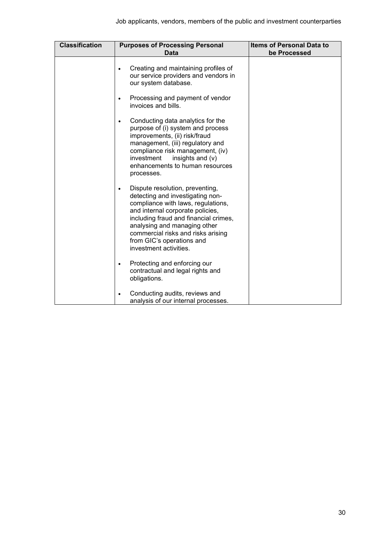| <b>Classification</b> | <b>Purposes of Processing Personal</b><br>Data                                                                                                                                                                                                                                                                      | <b>Items of Personal Data to</b><br>be Processed |  |  |
|-----------------------|---------------------------------------------------------------------------------------------------------------------------------------------------------------------------------------------------------------------------------------------------------------------------------------------------------------------|--------------------------------------------------|--|--|
|                       | Creating and maintaining profiles of<br>our service providers and vendors in<br>our system database.                                                                                                                                                                                                                |                                                  |  |  |
|                       | Processing and payment of vendor<br>$\bullet$<br>invoices and bills.                                                                                                                                                                                                                                                |                                                  |  |  |
|                       | Conducting data analytics for the<br>purpose of (i) system and process<br>improvements, (ii) risk/fraud<br>management, (iii) regulatory and<br>compliance risk management, (iv)<br>investment<br>insights and (v)<br>enhancements to human resources<br>processes.                                                  |                                                  |  |  |
|                       | Dispute resolution, preventing,<br>detecting and investigating non-<br>compliance with laws, regulations,<br>and internal corporate policies,<br>including fraud and financial crimes,<br>analysing and managing other<br>commercial risks and risks arising<br>from GIC's operations and<br>investment activities. |                                                  |  |  |
|                       | Protecting and enforcing our<br>contractual and legal rights and<br>obligations.                                                                                                                                                                                                                                    |                                                  |  |  |
|                       | Conducting audits, reviews and<br>analysis of our internal processes.                                                                                                                                                                                                                                               |                                                  |  |  |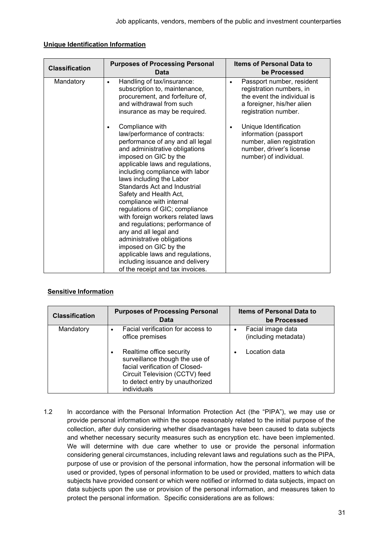| <b>Classification</b> | <b>Purposes of Processing Personal</b><br>Data                                                                                                                                                                                                                                                                                                                                                                                                                                                                                                                                                                             | <b>Items of Personal Data to</b><br>be Processed                                                                                                                                              |  |  |
|-----------------------|----------------------------------------------------------------------------------------------------------------------------------------------------------------------------------------------------------------------------------------------------------------------------------------------------------------------------------------------------------------------------------------------------------------------------------------------------------------------------------------------------------------------------------------------------------------------------------------------------------------------------|-----------------------------------------------------------------------------------------------------------------------------------------------------------------------------------------------|--|--|
| Mandatory             | Handling of tax/insurance:<br>$\bullet$<br>subscription to, maintenance,<br>procurement, and forfeiture of,<br>and withdrawal from such<br>insurance as may be required.<br>Compliance with<br>$\bullet$                                                                                                                                                                                                                                                                                                                                                                                                                   | Passport number, resident<br>$\bullet$<br>registration numbers, in<br>the event the individual is<br>a foreigner, his/her alien<br>registration number.<br>Unique Identification<br>$\bullet$ |  |  |
|                       | law/performance of contracts:<br>performance of any and all legal<br>and administrative obligations<br>imposed on GIC by the<br>applicable laws and regulations,<br>including compliance with labor<br>laws including the Labor<br>Standards Act and Industrial<br>Safety and Health Act,<br>compliance with internal<br>regulations of GIC; compliance<br>with foreign workers related laws<br>and regulations; performance of<br>any and all legal and<br>administrative obligations<br>imposed on GIC by the<br>applicable laws and regulations,<br>including issuance and delivery<br>of the receipt and tax invoices. | information (passport<br>number, alien registration<br>number, driver's license<br>number) of individual.                                                                                     |  |  |

## **Unique Identification Information**

# **Sensitive Information**

| <b>Classification</b> | <b>Purposes of Processing Personal</b><br><b>Items of Personal Data to</b><br><b>Data</b><br>be Processed                                                                                                                                |                                                            |  |  |  |
|-----------------------|------------------------------------------------------------------------------------------------------------------------------------------------------------------------------------------------------------------------------------------|------------------------------------------------------------|--|--|--|
| Mandatory             | Facial verification for access to<br>office premises<br>Realtime office security<br>surveillance though the use of<br>facial verification of Closed-<br>Circuit Television (CCTV) feed<br>to detect entry by unauthorized<br>individuals | Facial image data<br>(including metadata)<br>Location data |  |  |  |

1.2 In accordance with the Personal Information Protection Act (the "PIPA"), we may use or provide personal information within the scope reasonably related to the initial purpose of the collection, after duly considering whether disadvantages have been caused to data subjects and whether necessary security measures such as encryption etc. have been implemented. We will determine with due care whether to use or provide the personal information considering general circumstances, including relevant laws and regulations such as the PIPA, purpose of use or provision of the personal information, how the personal information will be used or provided, types of personal information to be used or provided, matters to which data subjects have provided consent or which were notified or informed to data subjects, impact on data subjects upon the use or provision of the personal information, and measures taken to protect the personal information. Specific considerations are as follows: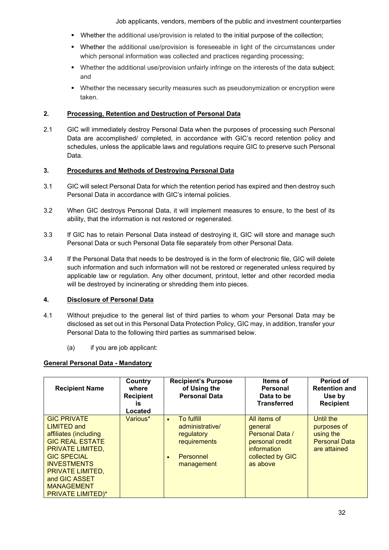Job applicants, vendors, members of the public and investment counterparties

- Whether the additional use/provision is related to the initial purpose of the collection;
- **Whether the additional use/provision is foreseeable in light of the circumstances under** which personal information was collected and practices regarding processing:
- Whether the additional use/provision unfairly infringe on the interests of the data subject; and
- Whether the necessary security measures such as pseudonymization or encryption were taken.

# **2. Processing, Retention and Destruction of Personal Data**

2.1 GIC will immediately destroy Personal Data when the purposes of processing such Personal Data are accomplished/ completed, in accordance with GIC's record retention policy and schedules, unless the applicable laws and regulations require GIC to preserve such Personal Data.

## **3. Procedures and Methods of Destroying Personal Data**

- 3.1 GIC will select Personal Data for which the retention period has expired and then destroy such Personal Data in accordance with GIC's internal policies.
- 3.2 When GIC destroys Personal Data, it will implement measures to ensure, to the best of its ability, that the information is not restored or regenerated.
- 3.3 If GIC has to retain Personal Data instead of destroying it, GIC will store and manage such Personal Data or such Personal Data file separately from other Personal Data.
- 3.4 If the Personal Data that needs to be destroyed is in the form of electronic file, GIC will delete such information and such information will not be restored or regenerated unless required by applicable law or regulation. Any other document, printout, letter and other recorded media will be destroyed by incinerating or shredding them into pieces.

### **4. Disclosure of Personal Data**

- 4.1 Without prejudice to the general list of third parties to whom your Personal Data may be disclosed as set out in this Personal Data Protection Policy, GIC may, in addition, transfer your Personal Data to the following third parties as summarised below.
	- (a) if you are job applicant:

# **General Personal Data - Mandatory**

| <b>Recipient Name</b>                                                                                                                                                                                                                                    | Country<br>where<br><b>Recipient</b><br>is<br>Located | <b>Recipient's Purpose</b><br>of Using the<br><b>Personal Data</b>                                               | Items of<br><b>Personal</b><br>Data to be<br><b>Transferred</b>                                              | Period of<br><b>Retention and</b><br>Use by<br><b>Recipient</b>                      |
|----------------------------------------------------------------------------------------------------------------------------------------------------------------------------------------------------------------------------------------------------------|-------------------------------------------------------|------------------------------------------------------------------------------------------------------------------|--------------------------------------------------------------------------------------------------------------|--------------------------------------------------------------------------------------|
| <b>GIC PRIVATE</b><br><b>LIMITED and</b><br>affiliates (including<br><b>GIC REAL ESTATE</b><br><b>PRIVATE LIMITED,</b><br><b>GIC SPECIAL</b><br><b>INVESTMENTS</b><br>PRIVATE LIMITED,<br>and GIC ASSET<br><b>MANAGEMENT</b><br><b>PRIVATE LIMITED)*</b> | Various*                                              | To fulfill<br>$\bullet$<br>administrative/<br>regulatory<br>requirements<br>Personnel<br>$\bullet$<br>management | All items of<br>general<br>Personal Data /<br>personal credit<br>information<br>collected by GIC<br>as above | <b>Until the</b><br>purposes of<br>using the<br><b>Personal Data</b><br>are attained |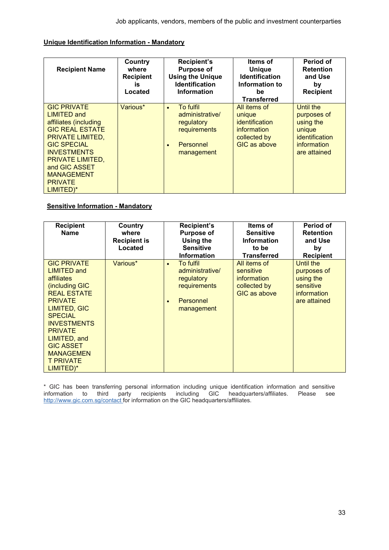## **Unique Identification Information - Mandatory**

| <b>Recipient Name</b>                                                                                                                                                                                                                                              | Country<br>where<br><b>Recipient</b><br>is.<br>Located | <b>Recipient's</b><br><b>Purpose of</b><br><b>Using the Unique</b><br><b>Identification</b><br><b>Information</b> | <b>Items of</b><br><b>Unique</b><br><b>Identification</b><br>Information to<br>be<br><b>Transferred</b>      | Period of<br><b>Retention</b><br>and Use<br>by<br><b>Recipient</b>                                      |
|--------------------------------------------------------------------------------------------------------------------------------------------------------------------------------------------------------------------------------------------------------------------|--------------------------------------------------------|-------------------------------------------------------------------------------------------------------------------|--------------------------------------------------------------------------------------------------------------|---------------------------------------------------------------------------------------------------------|
| <b>GIC PRIVATE</b><br><b>LIMITED and</b><br>affiliates (including<br><b>GIC REAL ESTATE</b><br><b>PRIVATE LIMITED,</b><br><b>GIC SPECIAL</b><br><b>INVESTMENTS</b><br><b>PRIVATE LIMITED,</b><br>and GIC ASSET<br><b>MANAGEMENT</b><br><b>PRIVATE</b><br>LIMITED)* | Various*                                               | To fulfil<br>$\bullet$<br>administrative/<br>regulatory<br>requirements<br>Personnel<br>$\bullet$<br>management   | All items of<br>unique<br><i>identification</i><br><i>information</i><br>collected by<br><b>GIC as above</b> | <b>Until the</b><br>purposes of<br>using the<br>unique<br>identification<br>information<br>are attained |

## **Sensitive Information - Mandatory**

| <b>Recipient</b><br><b>Name</b>                                                                                                                                                                                                                                                            | Country<br>where<br><b>Recipient is</b><br>Located | <b>Recipient's</b><br><b>Purpose of</b><br>Using the<br><b>Sensitive</b><br><b>Information</b>     | Items of<br><b>Sensitive</b><br><b>Information</b><br>to be<br><b>Transferred</b>      | Period of<br><b>Retention</b><br>and Use<br>by<br><b>Recipient</b>                |
|--------------------------------------------------------------------------------------------------------------------------------------------------------------------------------------------------------------------------------------------------------------------------------------------|----------------------------------------------------|----------------------------------------------------------------------------------------------------|----------------------------------------------------------------------------------------|-----------------------------------------------------------------------------------|
| <b>GIC PRIVATE</b><br><b>LIMITED and</b><br>affiliates<br>(including GIC<br><b>REAL ESTATE</b><br><b>PRIVATE</b><br><b>LIMITED, GIC</b><br><b>SPECIAL</b><br><b>INVESTMENTS</b><br><b>PRIVATE</b><br>LIMITED, and<br><b>GIC ASSET</b><br><b>MANAGEMEN</b><br><b>T PRIVATE</b><br>LIMITED)* | Various*                                           | To fulfil<br>$\bullet$<br>administrative/<br>regulatory<br>requirements<br>Personnel<br>management | All items of<br>sensitive<br><i>information</i><br>collected by<br><b>GIC as above</b> | Until the<br>purposes of<br>using the<br>sensitive<br>information<br>are attained |

\* GIC has been transferring personal information including unique identification information and sensitive information to third party recipients including GIC headquarters/affiliates. Please see <u>http://www.gic.com.sg/contact </u>for information on the GIC headquarters/affiliates.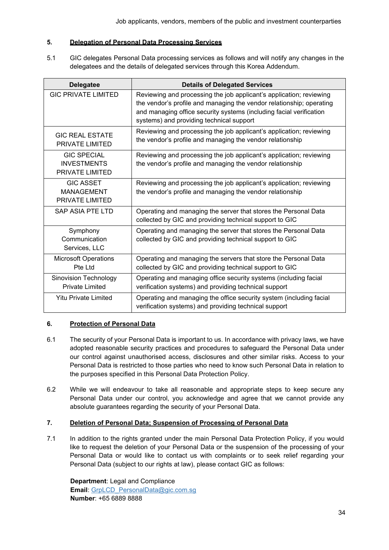## **5. Delegation of Personal Data Processing Services**

5.1 GIC delegates Personal Data processing services as follows and will notify any changes in the delegatees and the details of delegated services through this Korea Addendum.

| <b>Delegatee</b>                                            | <b>Details of Delegated Services</b>                                                                                                                                                                                                                           |
|-------------------------------------------------------------|----------------------------------------------------------------------------------------------------------------------------------------------------------------------------------------------------------------------------------------------------------------|
| <b>GIC PRIVATE LIMITED</b>                                  | Reviewing and processing the job applicant's application; reviewing<br>the vendor's profile and managing the vendor relationship; operating<br>and managing office security systems (including facial verification<br>systems) and providing technical support |
| <b>GIC REAL ESTATE</b><br>PRIVATE LIMITED                   | Reviewing and processing the job applicant's application; reviewing<br>the vendor's profile and managing the vendor relationship                                                                                                                               |
| <b>GIC SPECIAL</b><br><b>INVESTMENTS</b><br>PRIVATE LIMITED | Reviewing and processing the job applicant's application; reviewing<br>the vendor's profile and managing the vendor relationship                                                                                                                               |
| <b>GIC ASSET</b><br><b>MANAGEMENT</b><br>PRIVATE LIMITED    | Reviewing and processing the job applicant's application; reviewing<br>the vendor's profile and managing the vendor relationship                                                                                                                               |
| SAP ASIA PTE LTD                                            | Operating and managing the server that stores the Personal Data<br>collected by GIC and providing technical support to GIC                                                                                                                                     |
| Symphony<br>Communication<br>Services, LLC                  | Operating and managing the server that stores the Personal Data<br>collected by GIC and providing technical support to GIC                                                                                                                                     |
| <b>Microsoft Operations</b><br>Pte Ltd                      | Operating and managing the servers that store the Personal Data<br>collected by GIC and providing technical support to GIC                                                                                                                                     |
| <b>Sinovision Technology</b><br><b>Private Limited</b>      | Operating and managing office security systems (including facial<br>verification systems) and providing technical support                                                                                                                                      |
| <b>Yitu Private Limited</b>                                 | Operating and managing the office security system (including facial<br>verification systems) and providing technical support                                                                                                                                   |

# **6. Protection of Personal Data**

- 6.1 The security of your Personal Data is important to us. In accordance with privacy laws, we have adopted reasonable security practices and procedures to safeguard the Personal Data under our control against unauthorised access, disclosures and other similar risks. Access to your Personal Data is restricted to those parties who need to know such Personal Data in relation to the purposes specified in this Personal Data Protection Policy.
- 6.2 While we will endeavour to take all reasonable and appropriate steps to keep secure any Personal Data under our control, you acknowledge and agree that we cannot provide any absolute guarantees regarding the security of your Personal Data.

# **7. Deletion of Personal Data; Suspension of Processing of Personal Data**

7.1 In addition to the rights granted under the main Personal Data Protection Policy, if you would like to request the deletion of your Personal Data or the suspension of the processing of your Personal Data or would like to contact us with complaints or to seek relief regarding your Personal Data (subject to our rights at law), please contact GIC as follows:

**Department**: Legal and Compliance **Email:** [GrpLCD\\_PersonalData@gic.com.sg](mailto:GrpLCD_PersonalData@gic.com.sg) **Number**: +65 6889 8888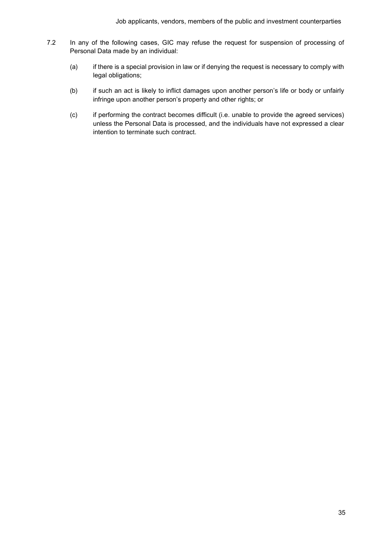- 7.2 In any of the following cases, GIC may refuse the request for suspension of processing of Personal Data made by an individual:
	- (a) if there is a special provision in law or if denying the request is necessary to comply with legal obligations;
	- (b) if such an act is likely to inflict damages upon another person's life or body or unfairly infringe upon another person's property and other rights; or
	- (c) if performing the contract becomes difficult (i.e. unable to provide the agreed services) unless the Personal Data is processed, and the individuals have not expressed a clear intention to terminate such contract.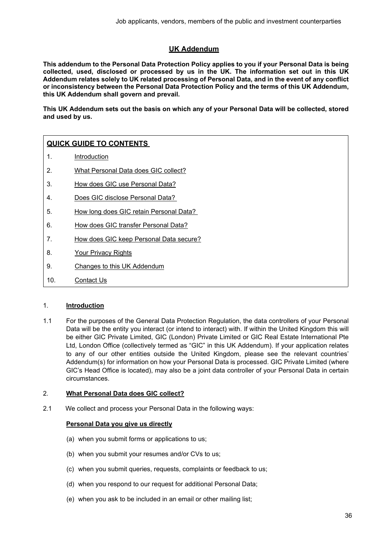# **UK Addendum**

<span id="page-35-0"></span>**This addendum to the Personal Data Protection Policy applies to you if your Personal Data is being collected, used, disclosed or processed by us in the UK. The information set out in this UK Addendum relates solely to UK related processing of Personal Data, and in the event of any conflict or inconsistency between the Personal Data Protection Policy and the terms of this UK Addendum, this UK Addendum shall govern and prevail.**

**This UK Addendum sets out the basis on which any of your Personal Data will be collected, stored and used by us.**

# **QUICK GUIDE TO CONTENTS**

- 1. [Introduction](#page-35-1)
- 2. [What Personal Data does GIC collect?](#page-35-0)
- 3. [How does GIC use Personal Data?](#page-37-0)
- 4. [Does GIC disclose Personal Data?](#page-39-0)
- 5. [How long does GIC retain Personal Data?](#page-40-0)
- 6. [How does GIC transfer Personal Data?](#page-40-1)
- 7. [How does GIC keep Personal Data secure?](#page-40-2)
- 8. [Your Privacy Rights](#page-41-0)
- 9. [Changes to this UK Addendum](#page-42-0)
- 10. [Contact Us](#page-42-1)

### <span id="page-35-1"></span>1. **Introduction**

1.1 For the purposes of the General Data Protection Regulation, the data controllers of your Personal Data will be the entity you interact (or intend to interact) with. If within the United Kingdom this will be either GIC Private Limited, GIC (London) Private Limited or GIC Real Estate International Pte Ltd, London Office (collectively termed as "GIC" in this UK Addendum). If your application relates to any of our other entities outside the United Kingdom, please see the relevant countries' Addendum(s) for information on how your Personal Data is processed. GIC Private Limited (where GIC's Head Office is located), may also be a joint data controller of your Personal Data in certain circumstances.

### 2. **What Personal Data does GIC collect?**

2.1 We collect and process your Personal Data in the following ways:

### **Personal Data you give us directly**

- (a) when you submit forms or applications to us;
- (b) when you submit your resumes and/or CVs to us;
- (c) when you submit queries, requests, complaints or feedback to us;
- (d) when you respond to our request for additional Personal Data;
- (e) when you ask to be included in an email or other mailing list;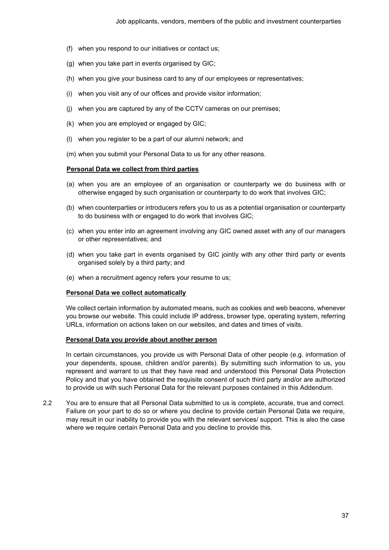- (f) when you respond to our initiatives or contact us;
- (g) when you take part in events organised by GIC;
- (h) when you give your business card to any of our employees or representatives;
- (i) when you visit any of our offices and provide visitor information;
- (j) when you are captured by any of the CCTV cameras on our premises;
- (k) when you are employed or engaged by GIC;
- (l) when you register to be a part of our alumni network; and
- (m) when you submit your Personal Data to us for any other reasons.

### **Personal Data we collect from third parties**

- (a) when you are an employee of an organisation or counterparty we do business with or otherwise engaged by such organisation or counterparty to do work that involves GIC;
- (b) when counterparties or introducers refers you to us as a potential organisation or counterparty to do business with or engaged to do work that involves GIC;
- (c) when you enter into an agreement involving any GIC owned asset with any of our managers or other representatives; and
- (d) when you take part in events organised by GIC jointly with any other third party or events organised solely by a third party; and
- (e) when a recruitment agency refers your resume to us;

#### **Personal Data we collect automatically**

We collect certain information by automated means, such as cookies and web beacons, whenever you browse our website. This could include IP address, browser type, operating system, referring URLs, information on actions taken on our websites, and dates and times of visits.

#### **Personal Data you provide about another person**

In certain circumstances, you provide us with Personal Data of other people (e.g. information of your dependents, spouse, children and/or parents). By submitting such information to us, you represent and warrant to us that they have read and understood this Personal Data Protection Policy and that you have obtained the requisite consent of such third party and/or are authorized to provide us with such Personal Data for the relevant purposes contained in this Addendum.

2.2 You are to ensure that all Personal Data submitted to us is complete, accurate, true and correct. Failure on your part to do so or where you decline to provide certain Personal Data we require, may result in our inability to provide you with the relevant services/ support. This is also the case where we require certain Personal Data and you decline to provide this.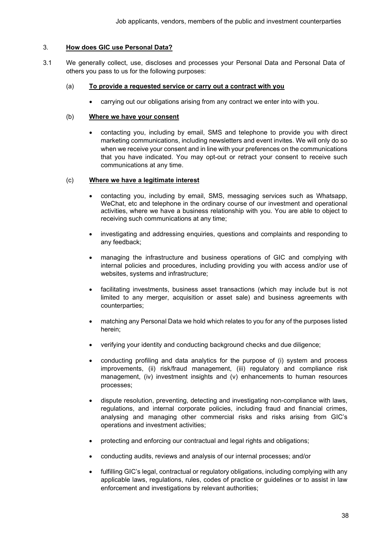## <span id="page-37-0"></span>3. **How does GIC use Personal Data?**

3.1 We generally collect, use, discloses and processes your Personal Data and Personal Data of others you pass to us for the following purposes:

### (a) **To provide a requested service or carry out a contract with you**

• carrying out our obligations arising from any contract we enter into with you.

### (b) **Where we have your consent**

• contacting you, including by email, SMS and telephone to provide you with direct marketing communications, including newsletters and event invites. We will only do so when we receive your consent and in line with your preferences on the communications that you have indicated. You may opt-out or retract your consent to receive such communications at any time.

### (c) **Where we have a legitimate interest**

- contacting you, including by email, SMS, messaging services such as Whatsapp, WeChat, etc and telephone in the ordinary course of our investment and operational activities, where we have a business relationship with you. You are able to object to receiving such communications at any time;
- investigating and addressing enquiries, questions and complaints and responding to any feedback;
- managing the infrastructure and business operations of GIC and complying with internal policies and procedures, including providing you with access and/or use of websites, systems and infrastructure;
- facilitating investments, business asset transactions (which may include but is not limited to any merger, acquisition or asset sale) and business agreements with counterparties;
- matching any Personal Data we hold which relates to you for any of the purposes listed herein;
- verifying your identity and conducting background checks and due diligence;
- conducting profiling and data analytics for the purpose of (i) system and process improvements, (ii) risk/fraud management, (iii) regulatory and compliance risk management, (iv) investment insights and (v) enhancements to human resources processes;
- dispute resolution, preventing, detecting and investigating non-compliance with laws, regulations, and internal corporate policies, including fraud and financial crimes, analysing and managing other commercial risks and risks arising from GIC's operations and investment activities;
- protecting and enforcing our contractual and legal rights and obligations;
- conducting audits, reviews and analysis of our internal processes; and/or
- fulfilling GIC's legal, contractual or regulatory obligations, including complying with any applicable laws, regulations, rules, codes of practice or guidelines or to assist in law enforcement and investigations by relevant authorities;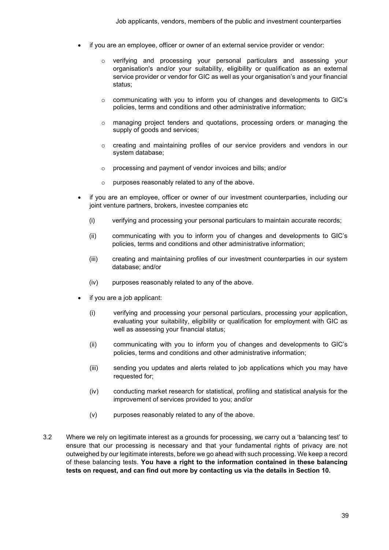- if you are an employee, officer or owner of an external service provider or vendor:
	- $\circ$  verifying and processing your personal particulars and assessing your organisation's and/or your suitability, eligibility or qualification as an external service provider or vendor for GIC as well as your organisation's and your financial status;
	- o communicating with you to inform you of changes and developments to GIC's policies, terms and conditions and other administrative information;
	- o managing project tenders and quotations, processing orders or managing the supply of goods and services;
	- o creating and maintaining profiles of our service providers and vendors in our system database;
	- o processing and payment of vendor invoices and bills; and/or
	- o purposes reasonably related to any of the above.
- if you are an employee, officer or owner of our investment counterparties, including our joint venture partners, brokers, investee companies etc
	- (i) verifying and processing your personal particulars to maintain accurate records;
	- (ii) communicating with you to inform you of changes and developments to GIC's policies, terms and conditions and other administrative information;
	- (iii) creating and maintaining profiles of our investment counterparties in our system database; and/or
	- (iv) purposes reasonably related to any of the above.
- if you are a job applicant:
	- (i) verifying and processing your personal particulars, processing your application, evaluating your suitability, eligibility or qualification for employment with GIC as well as assessing your financial status;
	- (ii) communicating with you to inform you of changes and developments to GIC's policies, terms and conditions and other administrative information;
	- (iii) sending you updates and alerts related to job applications which you may have requested for;
	- (iv) conducting market research for statistical, profiling and statistical analysis for the improvement of services provided to you; and/or
	- (v) purposes reasonably related to any of the above.
- 3.2 Where we rely on legitimate interest as a grounds for processing, we carry out a 'balancing test' to ensure that our processing is necessary and that your fundamental rights of privacy are not outweighed by our legitimate interests, before we go ahead with such processing. We keep a record of these balancing tests. **You have a right to the information contained in these balancing tests on request, and can find out more by contacting us via the details in Section 10.**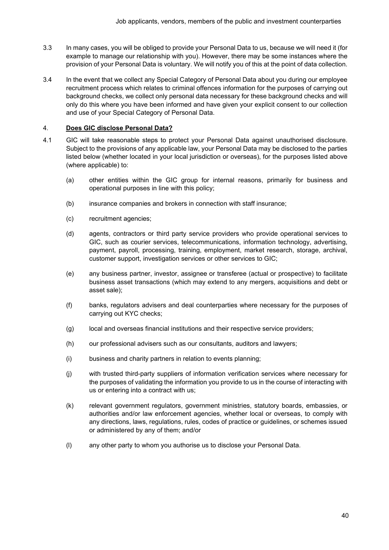- 3.3 In many cases, you will be obliged to provide your Personal Data to us, because we will need it (for example to manage our relationship with you). However, there may be some instances where the provision of your Personal Data is voluntary. We will notify you of this at the point of data collection.
- 3.4 In the event that we collect any Special Category of Personal Data about you during our employee recruitment process which relates to criminal offences information for the purposes of carrying out background checks, we collect only personal data necessary for these background checks and will only do this where you have been informed and have given your explicit consent to our collection and use of your Special Category of Personal Data.

### <span id="page-39-0"></span>4. **Does GIC disclose Personal Data?**

- 4.1 GIC will take reasonable steps to protect your Personal Data against unauthorised disclosure. Subject to the provisions of any applicable law, your Personal Data may be disclosed to the parties listed below (whether located in your local jurisdiction or overseas), for the purposes listed above (where applicable) to:
	- (a) other entities within the GIC group for internal reasons, primarily for business and operational purposes in line with this policy;
	- (b) insurance companies and brokers in connection with staff insurance;
	- (c) recruitment agencies;
	- (d) agents, contractors or third party service providers who provide operational services to GIC, such as courier services, telecommunications, information technology, advertising, payment, payroll, processing, training, employment, market research, storage, archival, customer support, investigation services or other services to GIC;
	- (e) any business partner, investor, assignee or transferee (actual or prospective) to facilitate business asset transactions (which may extend to any mergers, acquisitions and debt or asset sale);
	- (f) banks, regulators advisers and deal counterparties where necessary for the purposes of carrying out KYC checks;
	- (g) local and overseas financial institutions and their respective service providers;
	- (h) our professional advisers such as our consultants, auditors and lawyers;
	- (i) business and charity partners in relation to events planning;
	- (j) with trusted third-party suppliers of information verification services where necessary for the purposes of validating the information you provide to us in the course of interacting with us or entering into a contract with us;
	- (k) relevant government regulators, government ministries, statutory boards, embassies, or authorities and/or law enforcement agencies, whether local or overseas, to comply with any directions, laws, regulations, rules, codes of practice or guidelines, or schemes issued or administered by any of them; and/or
	- (l) any other party to whom you authorise us to disclose your Personal Data.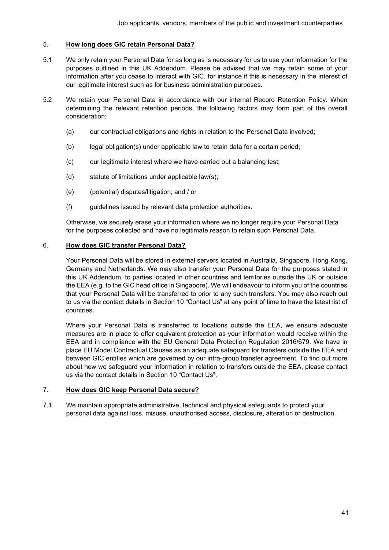## <span id="page-40-0"></span>5. **How long does GIC retain Personal Data?**

- 5.1 We only retain your Personal Data for as long as is necessary for us to use your information for the purposes outlined in this UK Addendum. Please be advised that we may retain some of your information after you cease to interact with GIC, for instance if this is necessary in the interest of our legitimate interest such as for business administration purposes.
- 5.2 We retain your Personal Data in accordance with our internal Record Retention Policy. When determining the relevant retention periods, the following factors may form part of the overall consideration:
	- (a) our contractual obligations and rights in relation to the Personal Data involved;
	- (b) legal obligation(s) under applicable law to retain data for a certain period;
	- (c) our legitimate interest where we have carried out a balancing test;
	- (d) statute of limitations under applicable law(s);
	- (e) (potential) disputes/litigation; and / or
	- (f) guidelines issued by relevant data protection authorities.

Otherwise, we securely erase your information where we no longer require your Personal Data for the purposes collected and have no legitimate reason to retain such Personal Data.

## <span id="page-40-1"></span>6. **How does GIC transfer Personal Data?**

Your Personal Data will be stored in external servers located in Australia, Singapore, Hong Kong, Germany and Netherlands. We may also transfer your Personal Data for the purposes stated in this UK Addendum, to parties located in other countries and territories outside the UK or outside the EEA (e.g. to the GIC head office in Singapore). We will endeavour to inform you of the countries that your Personal Data will be transferred to prior to any such transfers. You may also reach out to us via the contact details in Section 10 "Contact Us" at any point of time to have the latest list of countries.

Where your Personal Data is transferred to locations outside the EEA, we ensure adequate measures are in place to offer equivalent protection as your information would receive within the EEA and in compliance with the EU General Data Protection Regulation 2016/679. We have in place EU Model Contractual Clauses as an adequate safeguard for transfers outside the EEA and between GIC entities which are governed by our intra-group transfer agreement. To find out more about how we safeguard your information in relation to transfers outside the EEA, please contact us via the contact details in Section 10 "Contact Us".

### <span id="page-40-2"></span>7. **How does GIC keep Personal Data secure?**

7.1 We maintain appropriate administrative, technical and physical safeguards to protect your personal data against loss, misuse, unauthorised access, disclosure, alteration or destruction.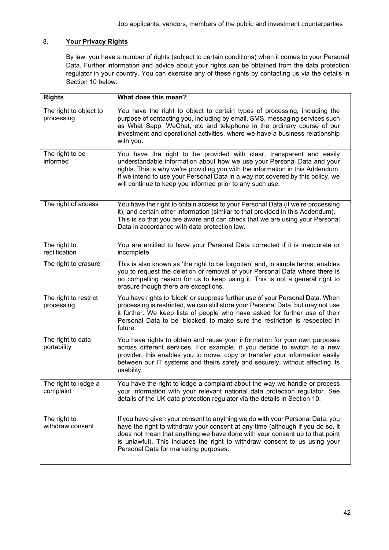# <span id="page-41-0"></span>8. **Your Privacy Rights**

By law, you have a number of rights (subject to certain conditions) when it comes to your Personal Data. Further information and advice about your rights can be obtained from the data protection regulator in your country. You can exercise any of these rights by contacting us via the details in Section 10 below:

| <b>Rights</b>                        | What does this mean?                                                                                                                                                                                                                                                                                                                                                             |
|--------------------------------------|----------------------------------------------------------------------------------------------------------------------------------------------------------------------------------------------------------------------------------------------------------------------------------------------------------------------------------------------------------------------------------|
| The right to object to<br>processing | You have the right to object to certain types of processing, including the<br>purpose of contacting you, including by email, SMS, messaging services such<br>as What Sapp, WeChat, etc and telephone in the ordinary course of our<br>investment and operational activities, where we have a business relationship<br>with you.                                                  |
| The right to be<br>informed          | You have the right to be provided with clear, transparent and easily<br>understandable information about how we use your Personal Data and your<br>rights. This is why we're providing you with the information in this Addendum.<br>If we intend to use your Personal Data in a way not covered by this policy, we<br>will continue to keep you informed prior to any such use. |
| The right of access                  | You have the right to obtain access to your Personal Data (if we're processing<br>it), and certain other information (similar to that provided in this Addendum).<br>This is so that you are aware and can check that we are using your Personal<br>Data in accordance with data protection law.                                                                                 |
| The right to<br>rectification        | You are entitled to have your Personal Data corrected if it is inaccurate or<br>incomplete.                                                                                                                                                                                                                                                                                      |
| The right to erasure                 | This is also known as 'the right to be forgotten' and, in simple terms, enables<br>you to request the deletion or removal of your Personal Data where there is<br>no compelling reason for us to keep using it. This is not a general right to<br>erasure though there are exceptions.                                                                                           |
| The right to restrict<br>processing  | You have rights to 'block' or suppress further use of your Personal Data. When<br>processing is restricted, we can still store your Personal Data, but may not use<br>it further. We keep lists of people who have asked for further use of their<br>Personal Data to be 'blocked' to make sure the restriction is respected in<br>future.                                       |
| The right to data<br>portability     | You have rights to obtain and reuse your information for your own purposes<br>across different services. For example, if you decide to switch to a new<br>provider, this enables you to move, copy or transfer your information easily<br>between our IT systems and theirs safely and securely, without affecting its<br>usability.                                             |
| The right to lodge a<br>complaint    | You have the right to lodge a complaint about the way we handle or process<br>your information with your relevant national data protection regulator. See<br>details of the UK data protection regulator via the details in Section 10.                                                                                                                                          |
| The right to<br>withdraw consent     | If you have given your consent to anything we do with your Personal Data, you<br>have the right to withdraw your consent at any time (although if you do so, it<br>does not mean that anything we have done with your consent up to that point<br>is unlawful). This includes the right to withdraw consent to us using your<br>Personal Data for marketing purposes.            |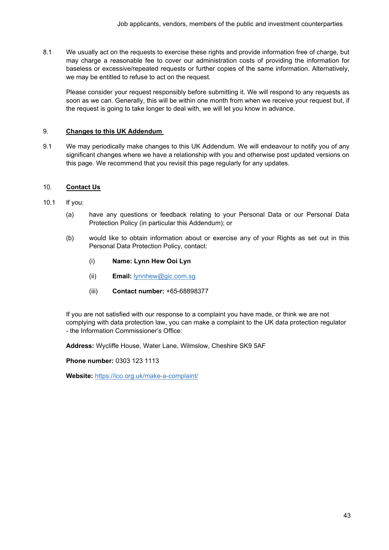8.1 We usually act on the requests to exercise these rights and provide information free of charge, but may charge a reasonable fee to cover our administration costs of providing the information for baseless or excessive/repeated requests or further copies of the same information. Alternatively, we may be entitled to refuse to act on the request.

Please consider your request responsibly before submitting it. We will respond to any requests as soon as we can. Generally, this will be within one month from when we receive your request but, if the request is going to take longer to deal with, we will let you know in advance.

# <span id="page-42-0"></span>9. **Changes to this UK Addendum**

9.1 We may periodically make changes to this UK Addendum. We will endeavour to notify you of any significant changes where we have a relationship with you and otherwise post updated versions on this page. We recommend that you revisit this page regularly for any updates.

# <span id="page-42-1"></span>10. **Contact Us**

- 10.1 If you:
	- (a) have any questions or feedback relating to your Personal Data or our Personal Data Protection Policy (in particular this Addendum); or
	- (b) would like to obtain information about or exercise any of your Rights as set out in this Personal Data Protection Policy, contact:
		- (i) **Name: Lynn Hew Ooi Lyn**
		- (ii) **Email:** [lynnhew@gic.com.sg](mailto:lynnhew@gic.com.sg)
		- (iii) **Contact number:** +65-68898377

If you are not satisfied with our response to a complaint you have made, or think we are not complying with data protection law, you can make a complaint to the UK data protection regulator - the Information Commissioner's Office:

**Address:** Wycliffe House, Water Lane, Wilmslow, Cheshire SK9 5AF

**Phone number:** 0303 123 1113

**Website:** <https://ico.org.uk/make-a-complaint/>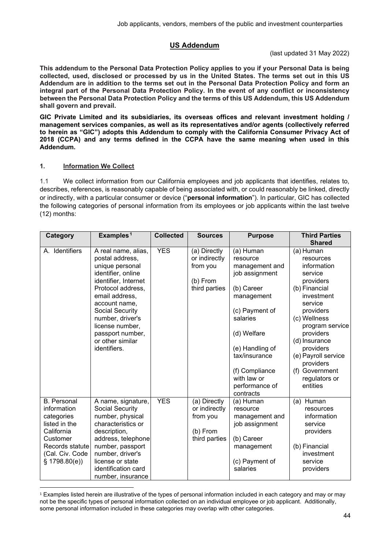# **US Addendum**

(last updated 31 May 2022)

<span id="page-43-0"></span>**This addendum to the Personal Data Protection Policy applies to you if your Personal Data is being collected, used, disclosed or processed by us in the United States. The terms set out in this US Addendum are in addition to the terms set out in the Personal Data Protection Policy and form an integral part of the Personal Data Protection Policy. In the event of any conflict or inconsistency between the Personal Data Protection Policy and the terms of this US Addendum, this US Addendum shall govern and prevail.**

**GIC Private Limited and its subsidiaries, its overseas offices and relevant investment holding / management services companies, as well as its representatives and/or agents (collectively referred to herein as "GIC") adopts this Addendum to comply with the California Consumer Privacy Act of 2018 (CCPA) and any terms defined in the CCPA have the same meaning when used in this Addendum.** 

# **1. Information We Collect**

1.1 We collect information from our California employees and job applicants that identifies, relates to, describes, references, is reasonably capable of being associated with, or could reasonably be linked, directly or indirectly, with a particular consumer or device ("**personal information**"). In particular, GIC has collected the following categories of personal information from its employees or job applicants within the last twelve (12) months:

| Category                                                                                                                                         | Examples <sup>1</sup>                                                                                                                                                                                                                                                             | <b>Collected</b> | <b>Sources</b>                                                         | <b>Purpose</b>                                                                                                                                                                                                                         | <b>Third Parties</b>                                                                                                                                                                                                                                                                  |
|--------------------------------------------------------------------------------------------------------------------------------------------------|-----------------------------------------------------------------------------------------------------------------------------------------------------------------------------------------------------------------------------------------------------------------------------------|------------------|------------------------------------------------------------------------|----------------------------------------------------------------------------------------------------------------------------------------------------------------------------------------------------------------------------------------|---------------------------------------------------------------------------------------------------------------------------------------------------------------------------------------------------------------------------------------------------------------------------------------|
|                                                                                                                                                  |                                                                                                                                                                                                                                                                                   |                  |                                                                        |                                                                                                                                                                                                                                        | <b>Shared</b>                                                                                                                                                                                                                                                                         |
| A. Identifiers                                                                                                                                   | A real name, alias,<br>postal address,<br>unique personal<br>identifier, online<br>identifier, Internet<br>Protocol address,<br>email address,<br>account name,<br>Social Security<br>number, driver's<br>license number,<br>passport number,<br>or other similar<br>identifiers. | <b>YES</b>       | (a) Directly<br>or indirectly<br>from you<br>(b) From<br>third parties | (a) Human<br>resource<br>management and<br>job assignment<br>(b) Career<br>management<br>(c) Payment of<br>salaries<br>(d) Welfare<br>(e) Handling of<br>tax/insurance<br>(f) Compliance<br>with law or<br>performance of<br>contracts | (a) Human<br>resources<br>information<br>service<br>providers<br>(b) Financial<br>investment<br>service<br>providers<br>(c) Wellness<br>program service<br>providers<br>(d) Insurance<br>providers<br>(e) Payroll service<br>providers<br>(f) Government<br>regulators or<br>entities |
| <b>B.</b> Personal<br>information<br>categories<br>listed in the<br>California<br>Customer<br>Records statute<br>(Cal. Civ. Code<br>\$1798.80(e) | A name, signature,<br>Social Security<br>number, physical<br>characteristics or<br>description,<br>address, telephone<br>number, passport<br>number, driver's<br>license or state<br>identification card<br>number, insurance                                                     | <b>YES</b>       | (a) Directly<br>or indirectly<br>from you<br>(b) From<br>third parties | (a) Human<br>resource<br>management and<br>job assignment<br>(b) Career<br>management<br>(c) Payment of<br>salaries                                                                                                                    | (a) Human<br>resources<br>information<br>service<br>providers<br>(b) Financial<br>investment<br>service<br>providers                                                                                                                                                                  |

<span id="page-43-1"></span><sup>&</sup>lt;sup>1</sup> Examples listed herein are illustrative of the types of personal information included in each category and may or may not be the specific types of personal information collected on an individual employee or job applicant. Additionally, some personal information included in these categories may overlap with other categories.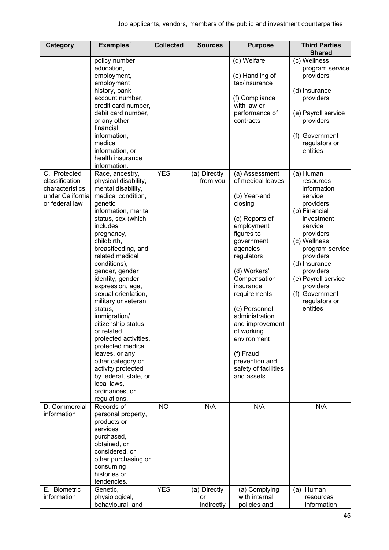| Category                                                                                | Examples <sup>1</sup>                                                                                                                                                                                                                                                                                                                                                                                                                                                                                                                                                                                      | <b>Collected</b> | <b>Sources</b>                   | <b>Purpose</b>                                                                                                                                                                                                                                                                                                                                                            | <b>Third Parties</b><br><b>Shared</b>                                                                                                                                                                                                                                                 |
|-----------------------------------------------------------------------------------------|------------------------------------------------------------------------------------------------------------------------------------------------------------------------------------------------------------------------------------------------------------------------------------------------------------------------------------------------------------------------------------------------------------------------------------------------------------------------------------------------------------------------------------------------------------------------------------------------------------|------------------|----------------------------------|---------------------------------------------------------------------------------------------------------------------------------------------------------------------------------------------------------------------------------------------------------------------------------------------------------------------------------------------------------------------------|---------------------------------------------------------------------------------------------------------------------------------------------------------------------------------------------------------------------------------------------------------------------------------------|
|                                                                                         | policy number,<br>education,<br>employment,<br>employment<br>history, bank<br>account number,<br>credit card number,<br>debit card number,<br>or any other<br>financial<br>information,<br>medical<br>information, or<br>health insurance<br>information.                                                                                                                                                                                                                                                                                                                                                  |                  |                                  | (d) Welfare<br>(e) Handling of<br>tax/insurance<br>(f) Compliance<br>with law or<br>performance of<br>contracts                                                                                                                                                                                                                                                           | (c) Wellness<br>program service<br>providers<br>(d) Insurance<br>providers<br>(e) Payroll service<br>providers<br>(f) Government<br>regulators or<br>entities                                                                                                                         |
| C. Protected<br>classification<br>characteristics<br>under California<br>or federal law | Race, ancestry,<br>physical disability,<br>mental disability,<br>medical condition,<br>genetic<br>information, marital<br>status, sex (which<br>includes<br>pregnancy,<br>childbirth,<br>breastfeeding, and<br>related medical<br>conditions),<br>gender, gender<br>identity, gender<br>expression, age,<br>sexual orientation,<br>military or veteran<br>status,<br>immigration/<br>citizenship status<br>or related<br>protected activities,<br>protected medical<br>leaves, or any<br>other category or<br>activity protected<br>by federal, state, or<br>local laws,<br>ordinances, or<br>regulations. | <b>YES</b>       | (a) Directly<br>from you         | (a) Assessment<br>of medical leaves<br>(b) Year-end<br>closing<br>(c) Reports of<br>employment<br>figures to<br>government<br>agencies<br>regulators<br>(d) Workers'<br>Compensation<br>insurance<br>requirements<br>(e) Personnel<br>administration<br>and improvement<br>of working<br>environment<br>(f) Fraud<br>prevention and<br>safety of facilities<br>and assets | (a) Human<br>resources<br>information<br>service<br>providers<br>(b) Financial<br>investment<br>service<br>providers<br>(c) Wellness<br>program service<br>providers<br>(d) Insurance<br>providers<br>(e) Payroll service<br>providers<br>(f) Government<br>regulators or<br>entities |
| D. Commercial<br>information                                                            | Records of<br>personal property,<br>products or<br>services<br>purchased,<br>obtained, or<br>considered, or<br>other purchasing or<br>consuming<br>histories or<br>tendencies.                                                                                                                                                                                                                                                                                                                                                                                                                             | <b>NO</b>        | N/A                              | N/A                                                                                                                                                                                                                                                                                                                                                                       | N/A                                                                                                                                                                                                                                                                                   |
| E. Biometric<br>information                                                             | Genetic,<br>physiological,<br>behavioural, and                                                                                                                                                                                                                                                                                                                                                                                                                                                                                                                                                             | <b>YES</b>       | (a) Directly<br>or<br>indirectly | (a) Complying<br>with internal<br>policies and                                                                                                                                                                                                                                                                                                                            | (a) Human<br>resources<br>information                                                                                                                                                                                                                                                 |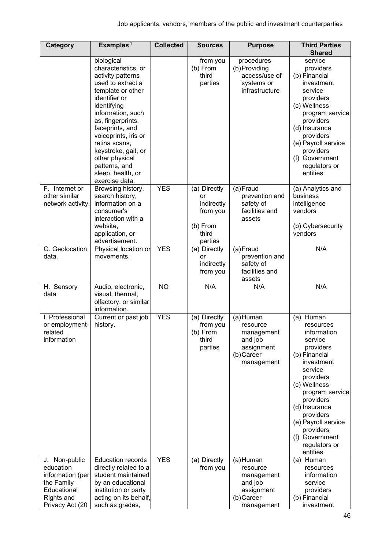| Category                                                                                                     | Examples <sup>1</sup>                                                                                                                                                                                                                                                                                                                   | <b>Collected</b> | <b>Sources</b>                                                               | <b>Purpose</b>                                                                           | <b>Third Parties</b><br><b>Shared</b>                                                                                                                                                                                                                                                    |
|--------------------------------------------------------------------------------------------------------------|-----------------------------------------------------------------------------------------------------------------------------------------------------------------------------------------------------------------------------------------------------------------------------------------------------------------------------------------|------------------|------------------------------------------------------------------------------|------------------------------------------------------------------------------------------|------------------------------------------------------------------------------------------------------------------------------------------------------------------------------------------------------------------------------------------------------------------------------------------|
|                                                                                                              | biological<br>characteristics, or<br>activity patterns<br>used to extract a<br>template or other<br>identifier or<br>identifying<br>information, such<br>as, fingerprints,<br>faceprints, and<br>voiceprints, iris or<br>retina scans,<br>keystroke, gait, or<br>other physical<br>patterns, and<br>sleep, health, or<br>exercise data. |                  | from you<br>(b) From<br>third<br>parties                                     | procedures<br>(b) Providing<br>access/use of<br>systems or<br>infrastructure             | service<br>providers<br>(b) Financial<br>investment<br>service<br>providers<br>(c) Wellness<br>program service<br>providers<br>(d) Insurance<br>providers<br>(e) Payroll service<br>providers<br>(f) Government<br>regulators or<br>entities                                             |
| F. Internet or<br>other similar<br>network activity.                                                         | Browsing history,<br>search history,<br>information on a<br>consumer's<br>interaction with a<br>website,<br>application, or<br>advertisement.                                                                                                                                                                                           | <b>YES</b>       | (a) Directly<br>or<br>indirectly<br>from you<br>(b) From<br>third<br>parties | (a)Fraud<br>prevention and<br>safety of<br>facilities and<br>assets                      | (a) Analytics and<br>business<br>intelligence<br>vendors<br>(b) Cybersecurity<br>vendors                                                                                                                                                                                                 |
| G. Geolocation<br>data.                                                                                      | Physical location or<br>movements.                                                                                                                                                                                                                                                                                                      | <b>YES</b>       | (a) Directly<br>or<br>indirectly<br>from you                                 | (a)Fraud<br>prevention and<br>safety of<br>facilities and<br>assets                      | N/A                                                                                                                                                                                                                                                                                      |
| H. Sensory<br>data                                                                                           | Audio, electronic,<br>visual, thermal,<br>olfactory, or similar<br>information.                                                                                                                                                                                                                                                         | <b>NO</b>        | N/A                                                                          | N/A                                                                                      | N/A                                                                                                                                                                                                                                                                                      |
| I. Professional<br>or employment-<br>related<br>information                                                  | Current or past job<br>history.                                                                                                                                                                                                                                                                                                         | <b>YES</b>       | (a) Directly<br>from you<br>(b) From<br>third<br>parties                     | (a)Human<br>resource<br>management<br>and job<br>assignment<br>(b) Career<br>management  | Human<br>(a)<br>resources<br>information<br>service<br>providers<br>(b) Financial<br>investment<br>service<br>providers<br>(c) Wellness<br>program service<br>providers<br>(d) Insurance<br>providers<br>(e) Payroll service<br>providers<br>(f) Government<br>regulators or<br>entities |
| J. Non-public<br>education<br>information (per<br>the Family<br>Educational<br>Rights and<br>Privacy Act (20 | <b>Education records</b><br>directly related to a<br>student maintained<br>by an educational<br>institution or party<br>acting on its behalf,<br>such as grades,                                                                                                                                                                        | <b>YES</b>       | (a) Directly<br>from you                                                     | (a) Human<br>resource<br>management<br>and job<br>assignment<br>(b) Career<br>management | (a) Human<br>resources<br>information<br>service<br>providers<br>(b) Financial<br>investment                                                                                                                                                                                             |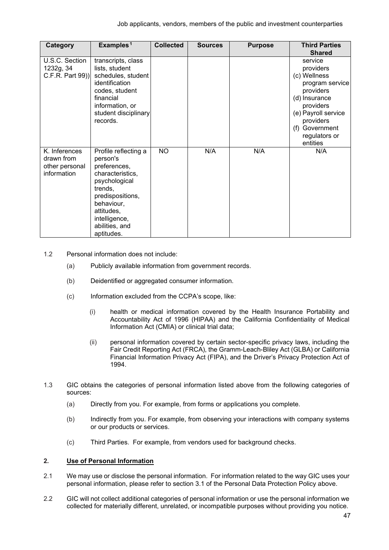| Category                                                     | Examples <sup>1</sup>                                                                                                                                                                             | <b>Collected</b> | <b>Sources</b> | <b>Purpose</b> | <b>Third Parties</b><br><b>Shared</b>                                                                                                                                                 |
|--------------------------------------------------------------|---------------------------------------------------------------------------------------------------------------------------------------------------------------------------------------------------|------------------|----------------|----------------|---------------------------------------------------------------------------------------------------------------------------------------------------------------------------------------|
| U.S.C. Section<br>1232g, 34<br>C.F.R. Part 99))              | transcripts, class<br>lists, student<br>schedules, student<br>identification<br>codes, student<br>financial<br>information, or<br>student disciplinary<br>records.                                |                  |                |                | service<br>providers<br>(c) Wellness<br>program service<br>providers<br>(d) Insurance<br>providers<br>(e) Payroll service<br>providers<br>(f) Government<br>regulators or<br>entities |
| K. Inferences<br>drawn from<br>other personal<br>information | Profile reflecting a<br>person's<br>preferences,<br>characteristics,<br>psychological<br>trends,<br>predispositions,<br>behaviour,<br>attitudes,<br>intelligence,<br>abilities, and<br>aptitudes. | <b>NO</b>        | N/A            | N/A            | N/A                                                                                                                                                                                   |

- 1.2 Personal information does not include:
	- (a) Publicly available information from government records.
	- (b) Deidentified or aggregated consumer information.
	- (c) Information excluded from the CCPA's scope, like:
		- (i) health or medical information covered by the Health Insurance Portability and Accountability Act of 1996 (HIPAA) and the California Confidentiality of Medical Information Act (CMIA) or clinical trial data;
		- (ii) personal information covered by certain sector-specific privacy laws, including the Fair Credit Reporting Act (FRCA), the Gramm-Leach-Bliley Act (GLBA) or California Financial Information Privacy Act (FIPA), and the Driver's Privacy Protection Act of 1994.
- 1.3 GIC obtains the categories of personal information listed above from the following categories of sources:
	- (a) Directly from you. For example, from forms or applications you complete.
	- (b) Indirectly from you. For example, from observing your interactions with company systems or our products or services.
	- (c) Third Parties. For example, from vendors used for background checks.

### **2. Use of Personal Information**

- 2.1 We may use or disclose the personal information. For information related to the way GIC uses your personal information, please refer to section 3.1 of the Personal Data Protection Policy above.
- 2.2 GIC will not collect additional categories of personal information or use the personal information we collected for materially different, unrelated, or incompatible purposes without providing you notice.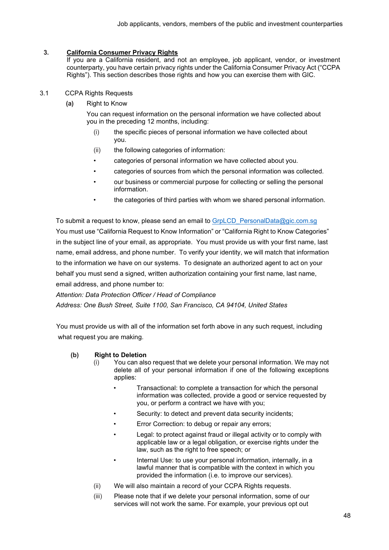# **3. California Consumer Privacy Rights**

If you are a California resident, and not an employee, job applicant, vendor, or investment counterparty, you have certain privacy rights under the California Consumer Privacy Act ("CCPA Rights"). This section describes those rights and how you can exercise them with GIC.

# 3.1 CCPA Rights Requests

**(a)** Right to Know

 You can request information on the personal information we have collected about you in the preceding 12 months, including:

- (i) the specific pieces of personal information we have collected about you.
- (ii) the following categories of information:
- categories of personal information we have collected about you.
- categories of sources from which the personal information was collected.
- our business or commercial purpose for collecting or selling the personal information.
- the categories of third parties with whom we shared personal information.

To submit a request to know, please send an email to GrpLCD PersonalData@gic.com.sg You must use "California Request to Know Information" or "California Right to Know Categories" in the subject line of your email, as appropriate. You must provide us with your first name, last name, email address, and phone number. To verify your identity, we will match that information to the information we have on our systems. To designate an authorized agent to act on your behalf you must send a signed, written authorization containing your first name, last name, email address, and phone number to:

 *Attention: Data Protection Officer / Head of Compliance Address: One Bush Street, Suite 1100, San Francisco, CA 94104, United States*

 You must provide us with all of the information set forth above in any such request, including what request you are making.

# **(b) Right to Deletion**

- (i) You can also request that we delete your personal information. We may not delete all of your personal information if one of the following exceptions applies:
	- Transactional: to complete a transaction for which the personal information was collected, provide a good or service requested by you, or perform a contract we have with you;
	- Security: to detect and prevent data security incidents;
	- Error Correction: to debug or repair any errors;
	- Legal: to protect against fraud or illegal activity or to comply with applicable law or a legal obligation, or exercise rights under the law, such as the right to free speech; or
	- Internal Use: to use your personal information, internally, in a lawful manner that is compatible with the context in which you provided the information (i.e. to improve our services).
- (ii) We will also maintain a record of your CCPA Rights requests.
- (iii) Please note that if we delete your personal information, some of our services will not work the same. For example, your previous opt out